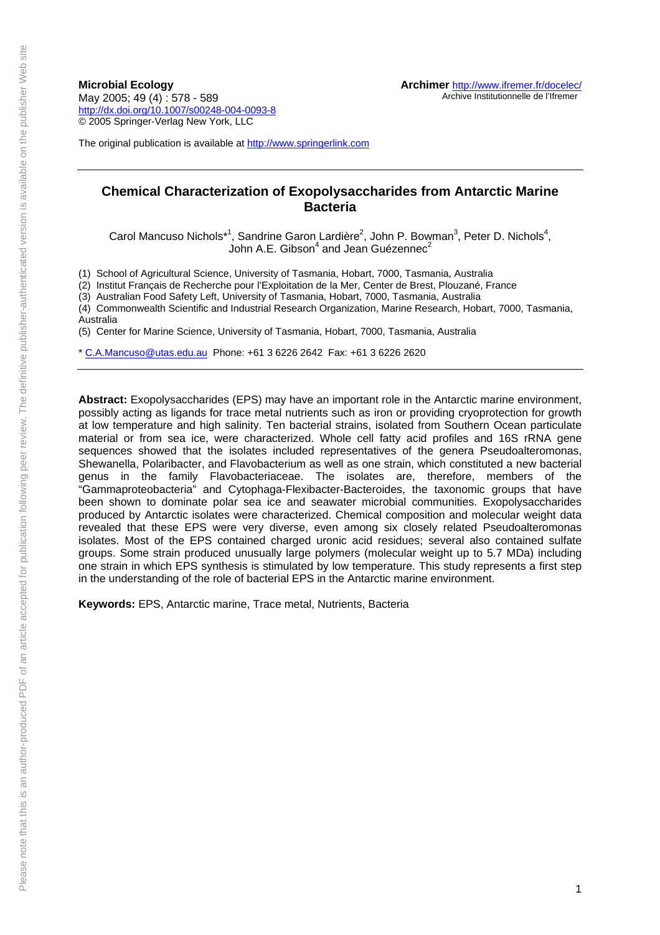**Microbial Ecology**  May 2005; 49 (4) : 578 - 589 <http://dx.doi.org/10.1007/s00248-004-0093-8> © 2005 Springer-Verlag New York, LLC

The original publication is available at [http://www.springerlink.com](http://www.springerlink.com/)

# **Chemical Characterization of Exopolysaccharides from Antarctic Marine Bacteria**

Carol Mancuso Nichols<sup>\*1</sup>, Sandrine Garon Lardière<sup>2</sup>, John P. Bowman<sup>3</sup>, Peter D. Nichols<sup>4</sup>, John A.E. Gibson<sup>4</sup> and Jean Guézennec<sup>2</sup>

(1) School of Agricultural Science, University of Tasmania, Hobart, 7000, Tasmania, Australia

(2) Institut Français de Recherche pour l'Exploitation de la Mer, Center de Brest, Plouzané, France

(3) Australian Food Safety Left, University of Tasmania, Hobart, 7000, Tasmania, Australia

(4) Commonwealth Scientific and Industrial Research Organization, Marine Research, Hobart, 7000, Tasmania, Australia

(5) Center for Marine Science, University of Tasmania, Hobart, 7000, Tasmania, Australia

\* [C.A.Mancuso@utas.edu.au](mailto:C.A.Mancuso@utas.edu.au) Phone: +61 3 6226 2642 Fax: +61 3 6226 2620

**Abstract:** Exopolysaccharides (EPS) may have an important role in the Antarctic marine environment, possibly acting as ligands for trace metal nutrients such as iron or providing cryoprotection for growth at low temperature and high salinity. Ten bacterial strains, isolated from Southern Ocean particulate material or from sea ice, were characterized. Whole cell fatty acid profiles and 16S rRNA gene sequences showed that the isolates included representatives of the genera Pseudoalteromonas, Shewanella, Polaribacter, and Flavobacterium as well as one strain, which constituted a new bacterial genus in the family Flavobacteriaceae. The isolates are, therefore, members of the "Gammaproteobacteria" and Cytophaga-Flexibacter-Bacteroides, the taxonomic groups that have been shown to dominate polar sea ice and seawater microbial communities. Exopolysaccharides produced by Antarctic isolates were characterized. Chemical composition and molecular weight data revealed that these EPS were very diverse, even among six closely related Pseudoalteromonas isolates. Most of the EPS contained charged uronic acid residues; several also contained sulfate groups. Some strain produced unusually large polymers (molecular weight up to 5.7 MDa) including one strain in which EPS synthesis is stimulated by low temperature. This study represents a first step in the understanding of the role of bacterial EPS in the Antarctic marine environment.

**Keywords:** EPS, Antarctic marine, Trace metal, Nutrients, Bacteria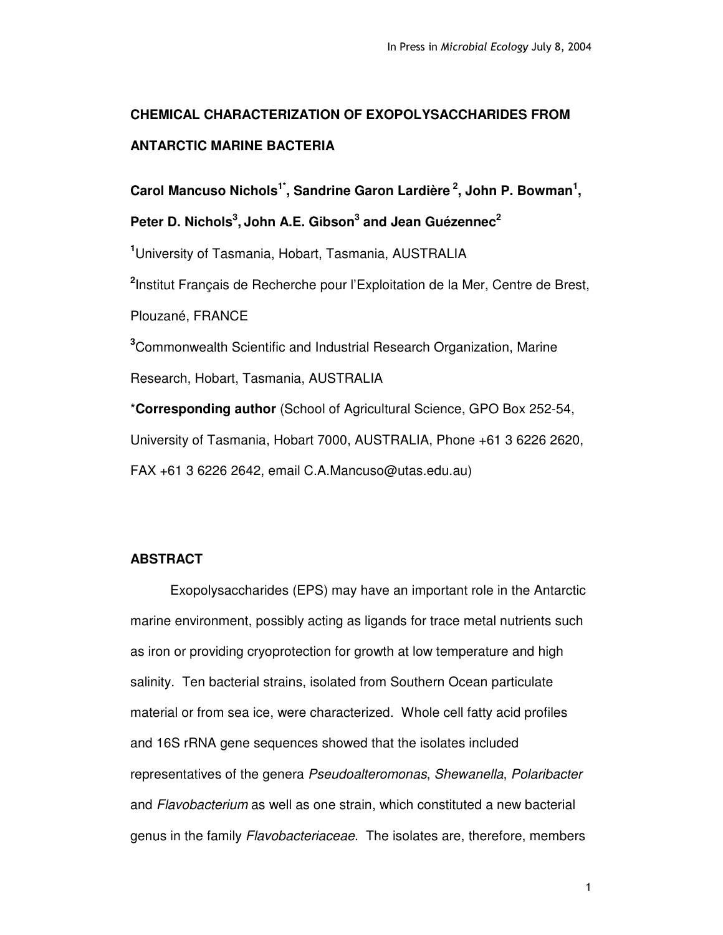# **CHEMICAL CHARACTERIZATION OF EXOPOLYSACCHARIDES FROM ANTARCTIC MARINE BACTERIA**

**Carol Mancuso Nichols 1\* , Sandrine Garon Lardière 2 , John P. Bowman 1 ,**

**Peter D. Nichols 3 , John A.E. Gibson 3 and Jean Guézennec 2**

**<sup>1</sup>**University of Tasmania, Hobart, Tasmania, AUSTRALIA

**2** Institut Français de Recherche pour l'Exploitation de la Mer, Centre de Brest,

Plouzané, FRANCE

**<sup>3</sup>**Commonwealth Scientific and Industrial Research Organization, Marine

Research, Hobart, Tasmania, AUSTRALIA

\***Corresponding author** (School of Agricultural Science, GPO Box 252-54, University of Tasmania, Hobart 7000, AUSTRALIA, Phone +61 3 6226 2620, FAX +61 3 6226 2642, email C.A.Mancuso@utas.edu.au)

# **ABSTRACT**

Exopolysaccharides (EPS) may have an important role in the Antarctic marine environment, possibly acting as ligands for trace metal nutrients such as iron or providing cryoprotection for growth at low temperature and high salinity. Ten bacterial strains, isolated from Southern Ocean particulate material or from sea ice, were characterized. Whole cell fatty acid profiles and 16S rRNA gene sequences showed that the isolates included representatives of the genera *Pseudoalteromonas*, *Shewanella*, *Polaribacter* and *Flavobacterium* as well as one strain, which constituted a new bacterial genus in the family *Flavobacteriaceae*. The isolates are, therefore, members

 $\mathbf{1}$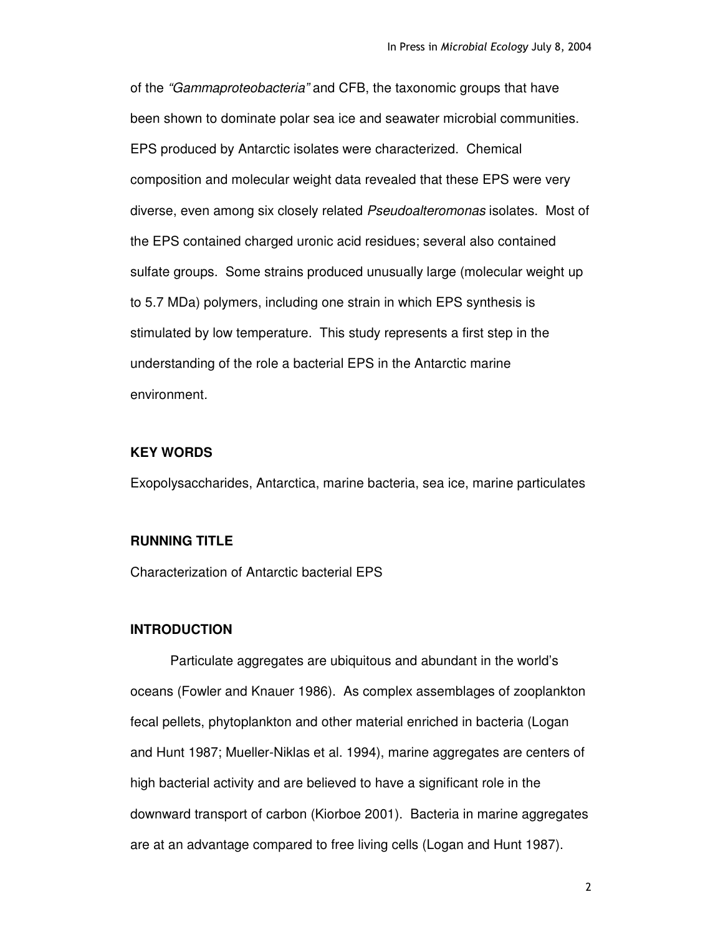of the *"Gammaproteobacteria"* and CFB, the taxonomic groups that have been shown to dominate polar sea ice and seawater microbial communities. EPS produced by Antarctic isolates were characterized. Chemical composition and molecular weight data revealed that these EPS were very diverse, even among six closely related *Pseudoalteromonas* isolates. Most of the EPS contained charged uronic acid residues; several also contained sulfate groups. Some strains produced unusually large (molecular weight up to 5.7 MDa) polymers, including one strain in which EPS synthesis is stimulated by low temperature. This study represents a first step in the understanding of the role a bacterial EPS in the Antarctic marine environment*.*

# **KEY WORDS**

Exopolysaccharides, Antarctica, marine bacteria, sea ice, marine particulates

# **RUNNING TITLE**

Characterization of Antarctic bacterial EPS

# **INTRODUCTION**

Particulate aggregates are ubiquitous and abundant in the world's oceans (Fowler and Knauer 1986). As complex assemblages of zooplankton fecal pellets, phytoplankton and other material enriched in bacteria (Logan and Hunt 1987; Mueller-Niklas et al. 1994), marine aggregates are centers of high bacterial activity and are believed to have a significant role in the downward transport of carbon (Kiorboe 2001). Bacteria in marine aggregates are at an advantage compared to free living cells (Logan and Hunt 1987).

 $\overline{2}$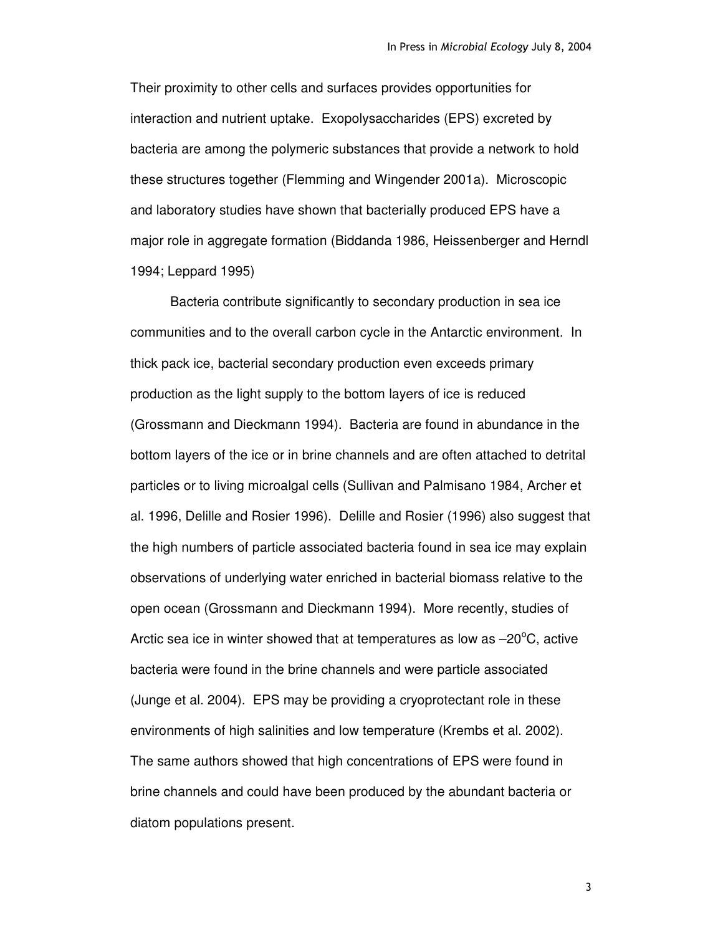Their proximity to other cells and surfaces provides opportunities for interaction and nutrient uptake. Exopolysaccharides (EPS) excreted by bacteria are among the polymeric substances that provide a network to hold these structures together (Flemming and Wingender 2001a). Microscopic and laboratory studies have shown that bacterially produced EPS have a major role in aggregate formation (Biddanda 1986, Heissenberger and Herndl 1994; Leppard 1995)

Bacteria contribute significantly to secondary production in sea ice communities and to the overall carbon cycle in the Antarctic environment. In thick pack ice, bacterial secondary production even exceeds primary production as the light supply to the bottom layers of ice is reduced (Grossmann and Dieckmann 1994). Bacteria are found in abundance in the bottom layers of the ice or in brine channels and are often attached to detrital particles or to living microalgal cells (Sullivan and Palmisano 1984, Archer et al. 1996, Delille and Rosier 1996). Delille and Rosier (1996) also suggest that the high numbers of particle associated bacteria found in sea ice may explain observations of underlying water enriched in bacterial biomass relative to the open ocean (Grossmann and Dieckmann 1994). More recently, studies of Arctic sea ice in winter showed that at temperatures as low as  $-20^{\circ}$ C, active bacteria were found in the brine channels and were particle associated (Junge et al. 2004). EPS may be providing a cryoprotectant role in these environments of high salinities and low temperature (Krembs et al. 2002). The same authors showed that high concentrations of EPS were found in brine channels and could have been produced by the abundant bacteria or diatom populations present.

 $\overline{3}$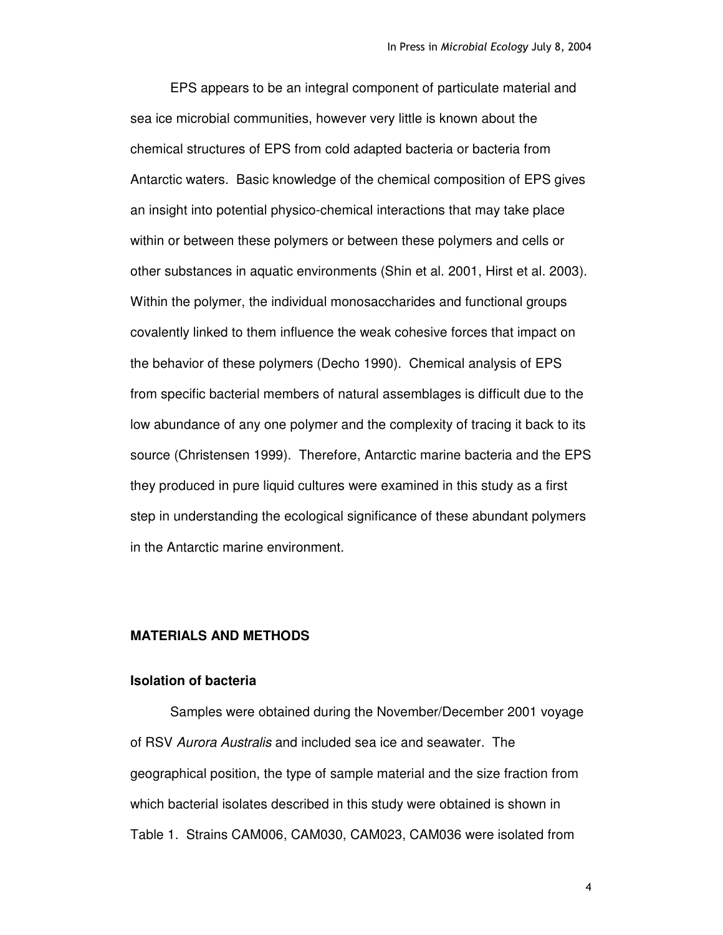EPS appears to be an integral component of particulate material and sea ice microbial communities, however very little is known about the chemical structures of EPS from cold adapted bacteria or bacteria from Antarctic waters. Basic knowledge of the chemical composition of EPS gives an insight into potential physico-chemical interactions that may take place within or between these polymers or between these polymers and cells or other substances in aquatic environments (Shin et al. 2001, Hirst et al. 2003). Within the polymer, the individual monosaccharides and functional groups covalently linked to them influence the weak cohesive forces that impact on the behavior of these polymers (Decho 1990). Chemical analysis of EPS from specific bacterial members of natural assemblages is difficult due to the low abundance of any one polymer and the complexity of tracing it back to its source (Christensen 1999). Therefore, Antarctic marine bacteria and the EPS they produced in pure liquid cultures were examined in this study as a first step in understanding the ecological significance of these abundant polymers in the Antarctic marine environment.

# **MATERIALS AND METHODS**

#### **Isolation of bacteria**

Samples were obtained during the November/December 2001 voyage of RSV *Aurora Australis* and included sea ice and seawater. The geographical position, the type of sample material and the size fraction from which bacterial isolates described in this study were obtained is shown in Table 1. Strains CAM006, CAM030, CAM023, CAM036 were isolated from

 $\overline{\mathbf{4}}$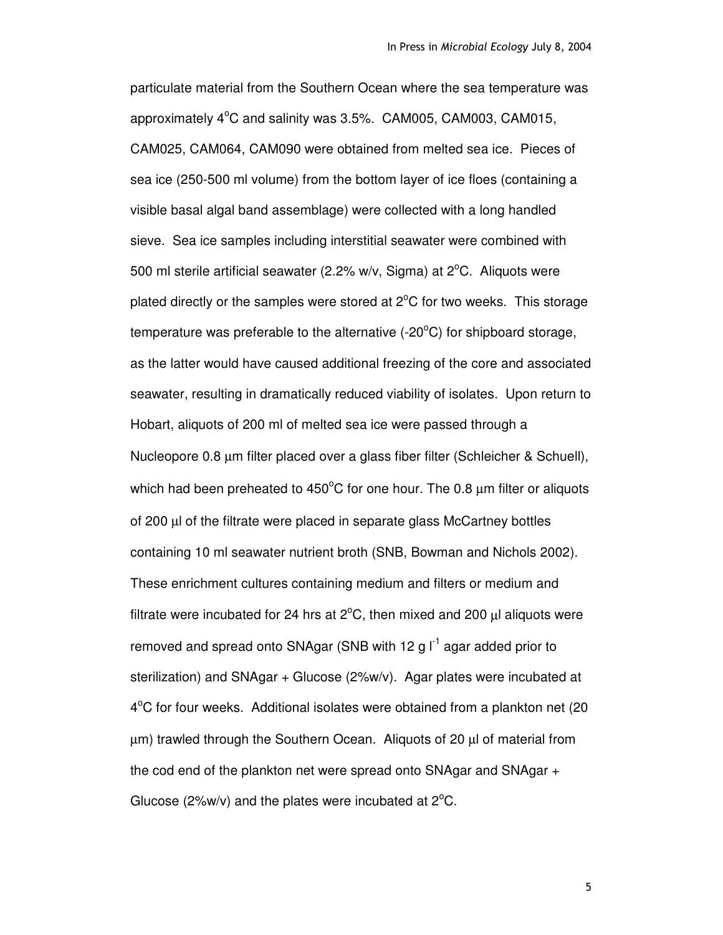particulate material from the Southern Ocean where the sea temperature was approximately 4°C and salinity was 3.5%. CAM005, CAM003, CAM015, CAM025, CAM064, CAM090 were obtained from melted sea ice. Pieces of sea ice (250-500 ml volume) from the bottom layer of ice floes (containing a visible basal algal band assemblage) were collected with a long handled sieve. Sea ice samples including interstitial seawater were combined with 500 ml sterile artificial seawater (2.2% w/v, Sigma) at  $2^{\circ}$ C. Aliquots were plated directly or the samples were stored at  $2^{\circ}$ C for two weeks. This storage temperature was preferable to the alternative (-20 $\rm ^{o}C$ ) for shipboard storage, as the latter would have caused additional freezing of the core and associated seawater, resulting in dramatically reduced viability of isolates. Upon return to Hobart, aliquots of 200 ml of melted sea ice were passed through a Nucleopore 0.8 µm filter placed over a glass fiber filter (Schleicher & Schuell), which had been preheated to 450 $^{\circ}$ C for one hour. The 0.8  $\mu$ m filter or aliquots of 200 µl of the filtrate were placed in separate glass McCartney bottles containing 10 ml seawater nutrient broth (SNB, Bowman and Nichols 2002). These enrichment cultures containing medium and filters or medium and filtrate were incubated for 24 hrs at  $2^{\circ}$ C, then mixed and 200  $\mu$ l aliquots were removed and spread onto SNAgar (SNB with 12 g  $I^1$  agar added prior to sterilization) and SNAgar + Glucose (2%w/v). Agar plates were incubated at 4°C for four weeks. Additional isolates were obtained from a plankton net (20 µm) trawled through the Southern Ocean. Aliquots of 20 µl of material from the cod end of the plankton net were spread onto SNAgar and SNAgar + Glucose ( $2\%$ w/v) and the plates were incubated at  $2^{\circ}$ C.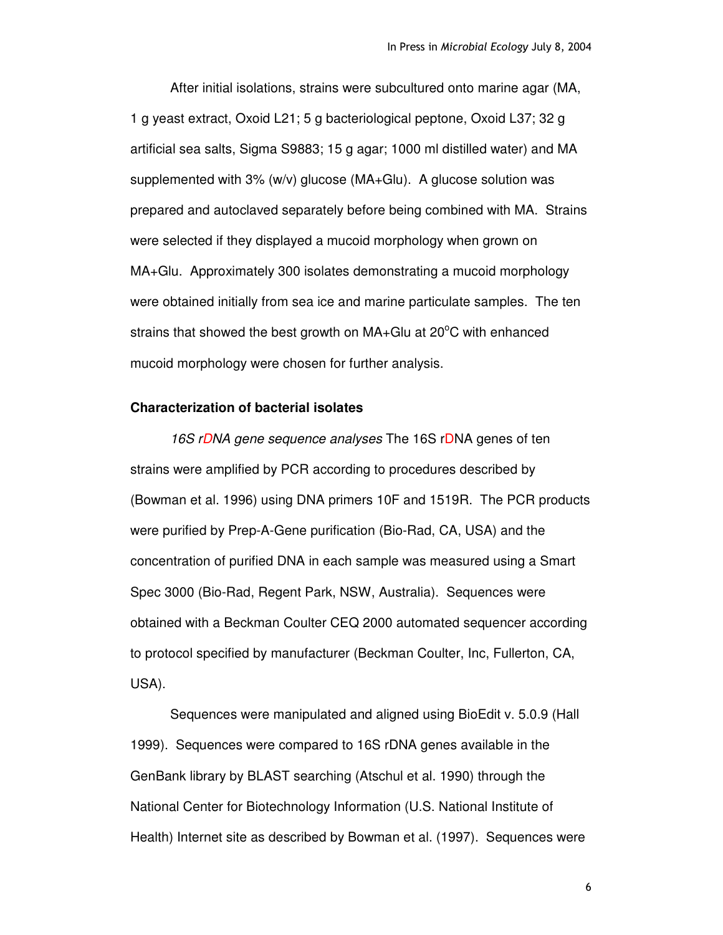After initial isolations, strains were subcultured onto marine agar (MA, 1 g yeast extract, Oxoid L21; 5 g bacteriological peptone, Oxoid L37; 32 g artificial sea salts, Sigma S9883; 15 g agar; 1000 ml distilled water) and MA supplemented with 3% (w/v) glucose (MA+Glu). A glucose solution was prepared and autoclaved separately before being combined with MA. Strains were selected if they displayed a mucoid morphology when grown on MA+Glu. Approximately 300 isolates demonstrating a mucoid morphology were obtained initially from sea ice and marine particulate samples. The ten strains that showed the best growth on  $MA + Glu$  at 20 $^{\circ}$ C with enhanced mucoid morphology were chosen for further analysis.

# **Characterization of bacterial isolates**

*16S rDNA gene sequence analyses* The 16S rDNA genes of ten strains were amplified by PCR according to procedures described by (Bowman et al. 1996) using DNA primers 10F and 1519R. The PCR products were purified by Prep-A-Gene purification (Bio-Rad, CA, USA) and the concentration of purified DNA in each sample was measured using a Smart Spec 3000 (Bio-Rad, Regent Park, NSW, Australia). Sequences were obtained with a Beckman Coulter CEQ 2000 automated sequencer according to protocol specified by manufacturer (Beckman Coulter, Inc, Fullerton, CA, USA).

Sequences were manipulated and aligned using BioEdit v. 5.0.9 (Hall 1999). Sequences were compared to 16S rDNA genes available in the GenBank library by BLAST searching (Atschul et al. 1990) through the National Center for Biotechnology Information (U.S. National Institute of Health) Internet site as described by Bowman et al. (1997). Sequences were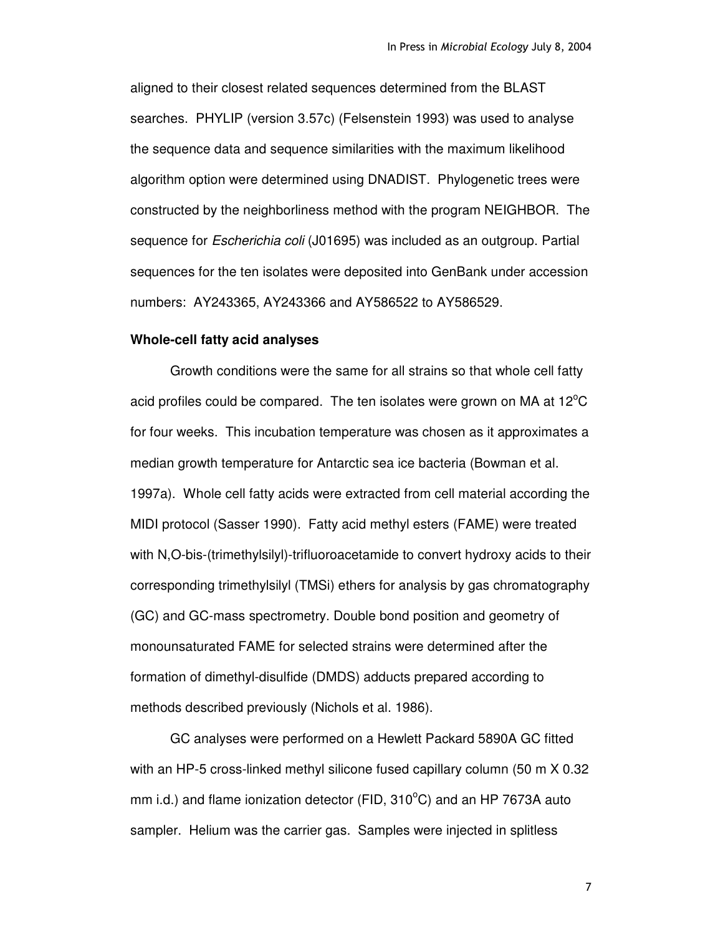aligned to their closest related sequences determined from the BLAST searches. PHYLIP (version 3.57c) (Felsenstein 1993) was used to analyse the sequence data and sequence similarities with the maximum likelihood algorithm option were determined using DNADIST. Phylogenetic trees were constructed by the neighborliness method with the program NEIGHBOR. The sequence for *Escherichia coli* (J01695) was included as an outgroup. Partial sequences for the ten isolates were deposited into GenBank under accession numbers: AY243365, AY243366 and AY586522 to AY586529.

#### **Whole-cell fatty acid analyses**

Growth conditions were the same for all strains so that whole cell fatty acid profiles could be compared. The ten isolates were grown on MA at 12 $^{\circ}$ C for four weeks. This incubation temperature was chosen as it approximates a median growth temperature for Antarctic sea ice bacteria (Bowman et al. 1997a). Whole cell fatty acids were extracted from cell material according the MIDI protocol (Sasser 1990). Fatty acid methyl esters (FAME) were treated with N,O-bis-(trimethylsilyl)-trifluoroacetamide to convert hydroxy acids to their corresponding trimethylsilyl (TMSi) ethers for analysis by gas chromatography (GC) and GC-mass spectrometry. Double bond position and geometry of monounsaturated FAME for selected strains were determined after the formation of dimethyl-disulfide (DMDS) adducts prepared according to methods described previously (Nichols et al. 1986).

GC analyses were performed on a Hewlett Packard 5890A GC fitted with an HP-5 cross-linked methyl silicone fused capillary column (50 m X 0.32 mm i.d.) and flame ionization detector (FID, 310°C) and an HP 7673A auto sampler. Helium was the carrier gas. Samples were injected in splitless

 $\overline{7}$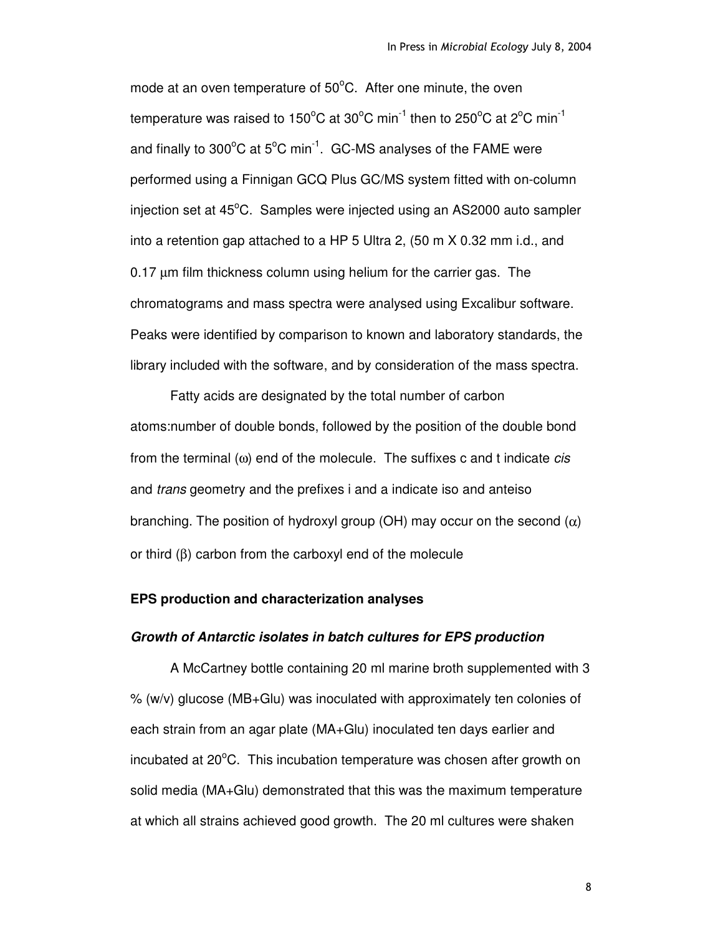mode at an oven temperature of 50°C. After one minute, the oven temperature was raised to 150°C at 30°C min $^{\text{-1}}$  then to 250°C at 2°C min $^{\text{-1}}$ and finally to 300 $^{\circ}$ C at 5 $^{\circ}$ C min<sup>-1</sup>. GC-MS analyses of the FAME were performed using a Finnigan GCQ Plus GC/MS system fitted with on-column injection set at 45°C. Samples were injected using an AS2000 auto sampler into a retention gap attached to a HP 5 Ultra 2, (50 m X 0.32 mm i.d., and 0.17 µm film thickness column using helium for the carrier gas. The chromatograms and mass spectra were analysed using Excalibur software. Peaks were identified by comparison to known and laboratory standards, the library included with the software, and by consideration of the mass spectra.

Fatty acids are designated by the total number of carbon atoms:number of double bonds, followed by the position of the double bond from the terminal (ω) end of the molecule. The suffixes c and t indicate *cis* and *trans* geometry and the prefixes i and a indicate iso and anteiso branching. The position of hydroxyl group (OH) may occur on the second  $(\alpha)$ or third (β) carbon from the carboxyl end of the molecule

# **EPS production and characterization analyses**

#### *Growth of Antarctic isolates in batch cultures for EPS production*

A McCartney bottle containing 20 ml marine broth supplemented with 3 % (w/v) glucose (MB+Glu) was inoculated with approximately ten colonies of each strain from an agar plate (MA+Glu) inoculated ten days earlier and incubated at  $20^{\circ}$ C. This incubation temperature was chosen after growth on solid media (MA+Glu) demonstrated that this was the maximum temperature at which all strains achieved good growth. The 20 ml cultures were shaken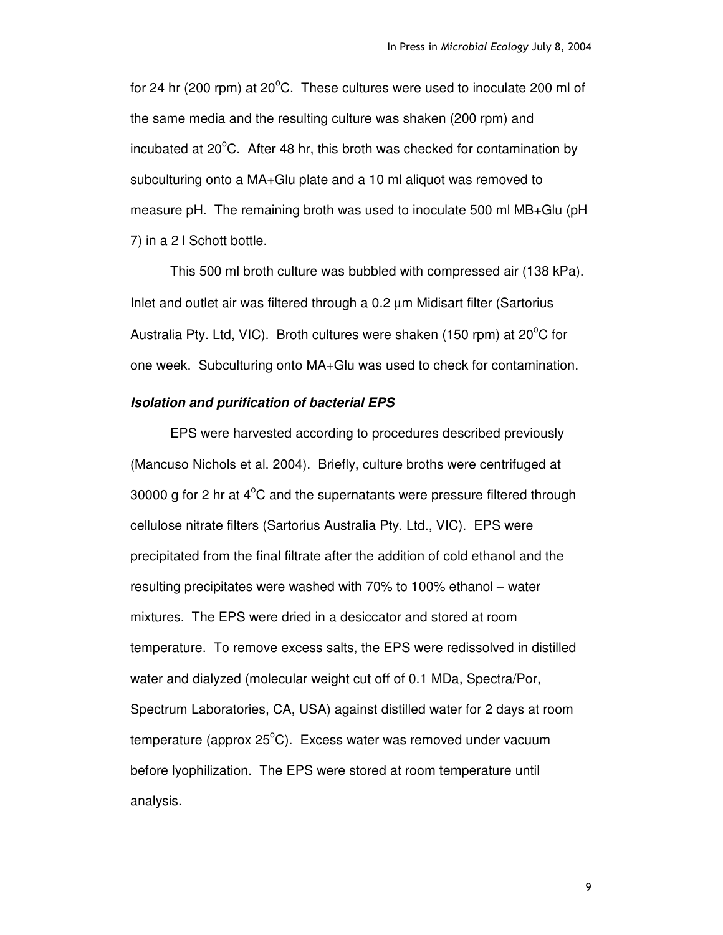for 24 hr (200 rpm) at 20 $^{\circ}$ C. These cultures were used to inoculate 200 ml of the same media and the resulting culture was shaken (200 rpm) and incubated at  $20^{\circ}$ C. After 48 hr, this broth was checked for contamination by subculturing onto a MA+Glu plate and a 10 ml aliquot was removed to measure pH. The remaining broth was used to inoculate 500 ml MB+Glu (pH 7) in a 2 l Schott bottle.

This 500 ml broth culture was bubbled with compressed air (138 kPa). Inlet and outlet air was filtered through a 0.2 µm Midisart filter (Sartorius Australia Pty. Ltd, VIC). Broth cultures were shaken (150 rpm) at 20<sup>o</sup>C for one week. Subculturing onto MA+Glu was used to check for contamination.

## *Isolation and purification of bacterial EPS*

EPS were harvested according to procedures described previously (Mancuso Nichols et al. 2004). Briefly, culture broths were centrifuged at 30000 g for 2 hr at  $4^{\circ}$ C and the supernatants were pressure filtered through cellulose nitrate filters (Sartorius Australia Pty. Ltd., VIC). EPS were precipitated from the final filtrate after the addition of cold ethanol and the resulting precipitates were washed with 70% to 100% ethanol – water mixtures. The EPS were dried in a desiccator and stored at room temperature. To remove excess salts, the EPS were redissolved in distilled water and dialyzed (molecular weight cut off of 0.1 MDa, Spectra/Por, Spectrum Laboratories, CA, USA) against distilled water for 2 days at room temperature (approx 25°C). Excess water was removed under vacuum before lyophilization. The EPS were stored at room temperature until analysis.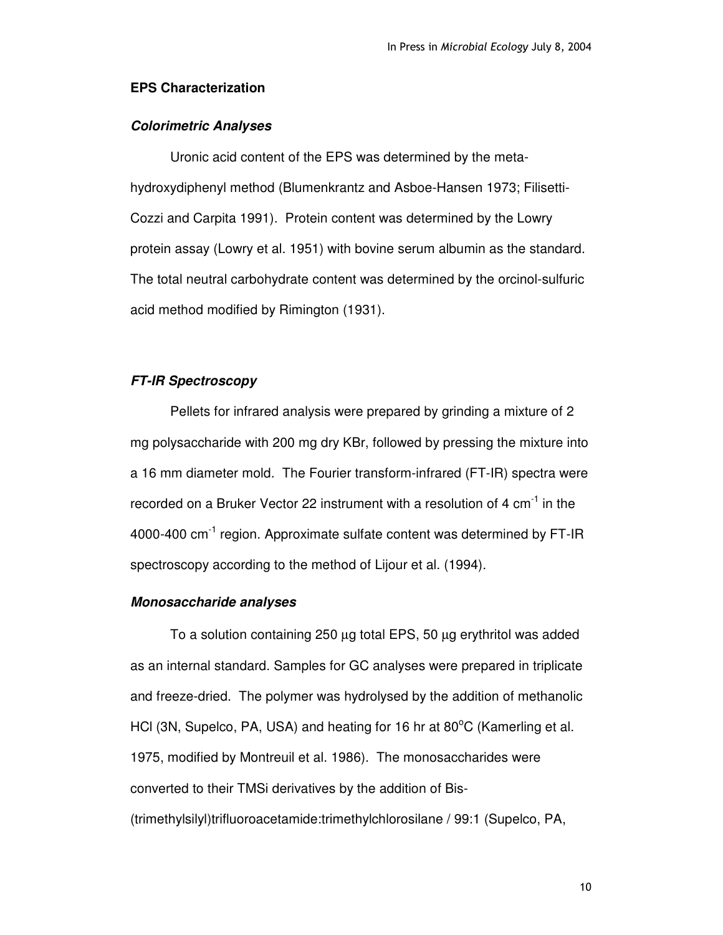## **EPS Characterization**

## *Colorimetric Analyses*

Uronic acid content of the EPS was determined by the metahydroxydiphenyl method (Blumenkrantz and Asboe-Hansen 1973; Filisetti-Cozzi and Carpita 1991). Protein content was determined by the Lowry protein assay (Lowry et al. 1951) with bovine serum albumin as the standard. The total neutral carbohydrate content was determined by the orcinol-sulfuric acid method modified by Rimington (1931).

## *FT-IR Spectroscopy*

Pellets for infrared analysis were prepared by grinding a mixture of 2 mg polysaccharide with 200 mg dry KBr, followed by pressing the mixture into a 16 mm diameter mold. The Fourier transform-infrared (FT-IR) spectra were recorded on a Bruker Vector 22 instrument with a resolution of 4  $\mathrm{cm}^{\text{-1}}$  in the 4000-400 cm<sup>-1</sup> region. Approximate sulfate content was determined by FT-IR spectroscopy according to the method of Lijour et al. (1994).

# *Monosaccharide analyses*

To a solution containing 250 µg total EPS, 50 µg erythritol was added as an internal standard. Samples for GC analyses were prepared in triplicate and freeze-dried. The polymer was hydrolysed by the addition of methanolic HCI (3N, Supelco, PA, USA) and heating for 16 hr at 80°C (Kamerling et al. 1975, modified by Montreuil et al. 1986). The monosaccharides were converted to their TMSi derivatives by the addition of Bis- (trimethylsilyl)trifluoroacetamide:trimethylchlorosilane / 99:1 (Supelco, PA,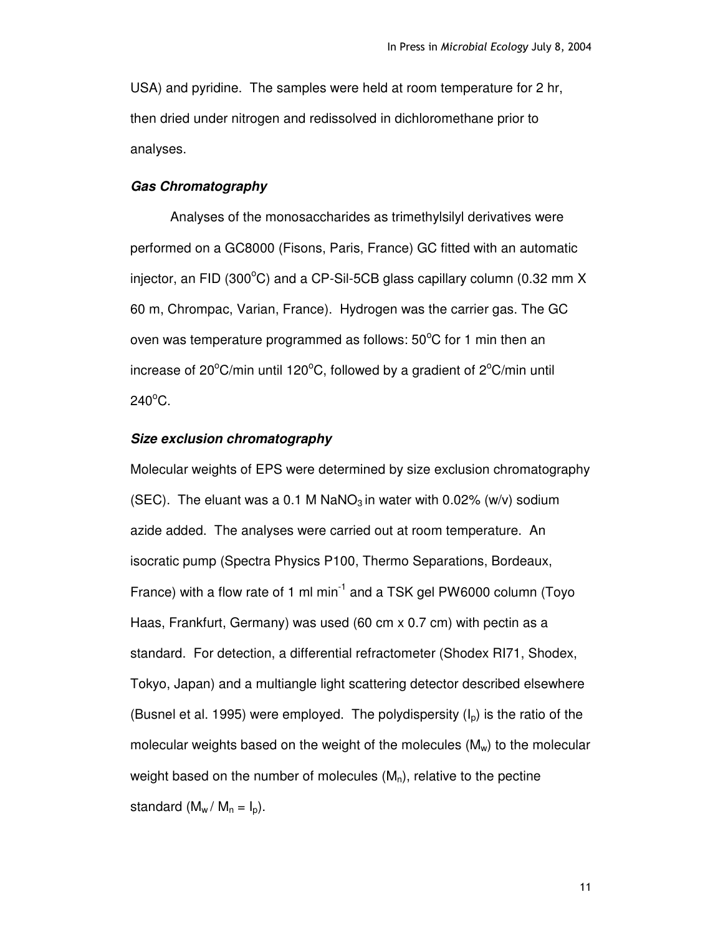USA) and pyridine. The samples were held at room temperature for 2 hr, then dried under nitrogen and redissolved in dichloromethane prior to analyses.

#### *Gas Chromatography*

Analyses of the monosaccharides as trimethylsilyl derivatives were performed on a GC8000 (Fisons, Paris, France) GC fitted with an automatic injector, an FID (300 $^{\circ}$ C) and a CP-Sil-5CB glass capillary column (0.32 mm X 60 m, Chrompac, Varian, France). Hydrogen was the carrier gas. The GC oven was temperature programmed as follows:  $50^{\circ}$ C for 1 min then an increase of 20 $\mathrm{^oC/m}$ in until 120 $\mathrm{^oC}$ , followed by a gradient of 2 $\mathrm{^oC/m}$ in until  $240^{\circ}$ C.

#### *Size exclusion chromatography*

Molecular weights of EPS were determined by size exclusion chromatography (SEC). The eluant was a 0.1 M NaNO<sub>3</sub> in water with 0.02% (w/v) sodium azide added. The analyses were carried out at room temperature. An isocratic pump (Spectra Physics P100, Thermo Separations, Bordeaux, France) with a flow rate of 1 ml min<sup>-1</sup> and a TSK gel PW6000 column (Toyo Haas, Frankfurt, Germany) was used (60 cm x 0.7 cm) with pectin as a standard. For detection, a differential refractometer (Shodex RI71, Shodex, Tokyo, Japan) and a multiangle light scattering detector described elsewhere (Busnel et al. 1995) were employed. The polydispersity  $(I_p)$  is the ratio of the molecular weights based on the weight of the molecules  $(M_w)$  to the molecular weight based on the number of molecules  $(M_n)$ , relative to the pectine standard  $(M_w / M_n = I_n)$ .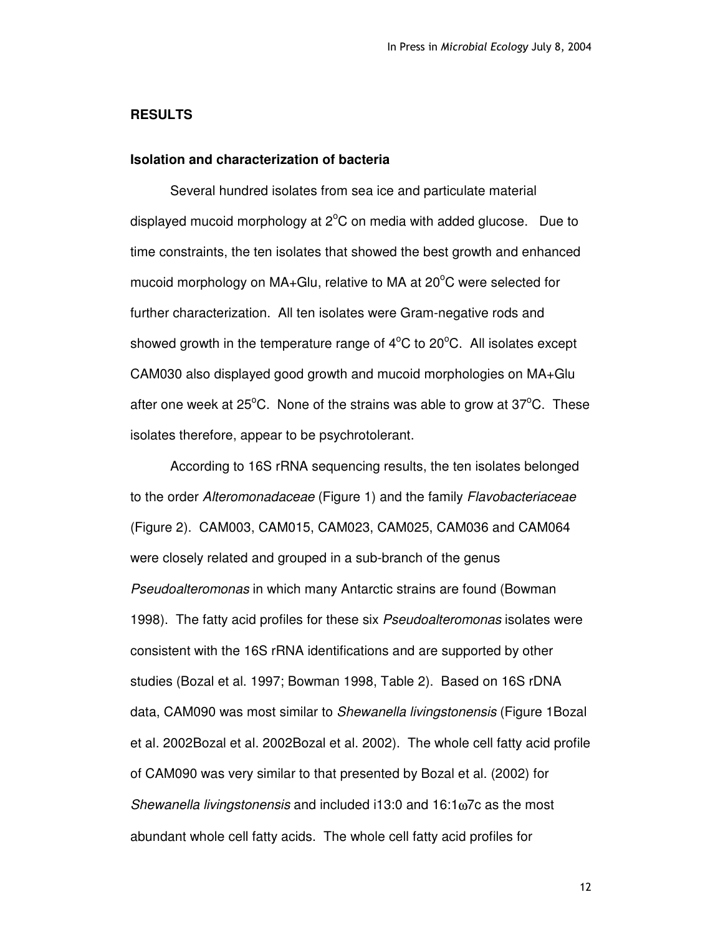#### **RESULTS**

## **Isolation and characterization of bacteria**

Several hundred isolates from sea ice and particulate material displayed mucoid morphology at  $2^{\circ}$ C on media with added glucose. Due to time constraints, the ten isolates that showed the best growth and enhanced mucoid morphology on MA+Glu, relative to MA at 20°C were selected for further characterization. All ten isolates were Gram-negative rods and showed growth in the temperature range of  $4^{\circ}$ C to 20 $^{\circ}$ C. All isolates except CAM030 also displayed good growth and mucoid morphologies on MA+Glu after one week at 25 $\mathrm{^{\circ}C}$ . None of the strains was able to grow at 37 $\mathrm{^{\circ}C}$ . These isolates therefore, appear to be psychrotolerant.

According to 16S rRNA sequencing results, the ten isolates belonged to the order *Alteromonadaceae* (Figure 1) and the family *Flavobacteriaceae* (Figure 2). CAM003, CAM015, CAM023, CAM025, CAM036 and CAM064 were closely related and grouped in a sub-branch of the genus *Pseudoalteromonas* in which many Antarctic strains are found (Bowman 1998). The fatty acid profiles for these six *Pseudoalteromonas* isolates were consistent with the 16S rRNA identifications and are supported by other studies (Bozal et al. 1997; Bowman 1998, Table 2). Based on 16S rDNA data, CAM090 was most similar to *Shewanella livingstonensis* (Figure 1Bozal et al. 2002Bozal et al. 2002Bozal et al. 2002). The whole cell fatty acid profile of CAM090 was very similar to that presented by Bozal et al. (2002) for *Shewanella livingstonensis* and included i13:0 and 16:1ω7c as the most abundant whole cell fatty acids. The whole cell fatty acid profiles for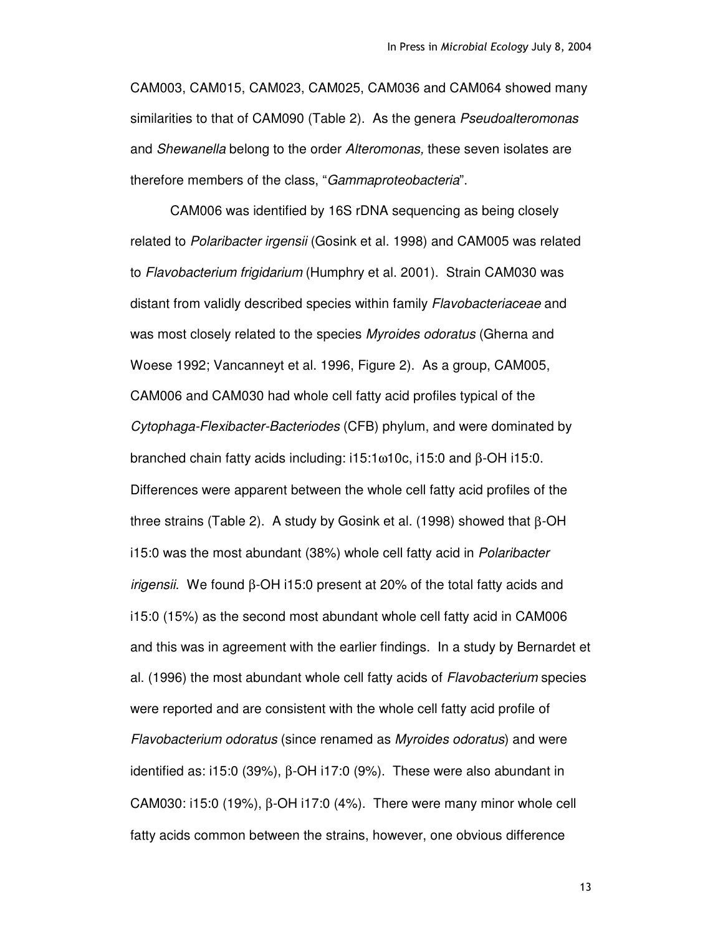CAM003, CAM015, CAM023, CAM025, CAM036 and CAM064 showed many similarities to that of CAM090 (Table 2). As the genera *Pseudoalteromonas* and *Shewanella* belong to the order *Alteromonas,* these seven isolates are therefore members of the class, "*Gammaproteobacteria*".

CAM006 was identified by 16S rDNA sequencing as being closely related to *Polaribacter irgensii* (Gosink et al. 1998) and CAM005 was related to *Flavobacterium frigidarium* (Humphry et al. 2001). Strain CAM030 was distant from validly described species within family *Flavobacteriaceae* and was most closely related to the species *Myroides odoratus* (Gherna and Woese 1992; Vancanneyt et al. 1996, Figure 2). As a group, CAM005, CAM006 and CAM030 had whole cell fatty acid profiles typical of the *Cytophaga-Flexibacter-Bacteriodes* (CFB) phylum, and were dominated by branched chain fatty acids including: i15:1ω10c, i15:0 and β-OH i15:0. Differences were apparent between the whole cell fatty acid profiles of the three strains (Table 2). A study by Gosink et al. (1998) showed that β-OH i15:0 was the most abundant (38%) whole cell fatty acid in *Polaribacter irigensii*. We found β-OH i15:0 present at 20% of the total fatty acids and i15:0 (15%) as the second most abundant whole cell fatty acid in CAM006 and this was in agreement with the earlier findings. In a study by Bernardet et al. (1996) the most abundant whole cell fatty acids of *Flavobacterium* species were reported and are consistent with the whole cell fatty acid profile of *Flavobacterium odoratus* (since renamed as *Myroides odoratus*) and were identified as: i15:0 (39%),  $\beta$ -OH i17:0 (9%). These were also abundant in CAM030: i15:0 (19%),  $\beta$ -OH i17:0 (4%). There were many minor whole cell fatty acids common between the strains, however, one obvious difference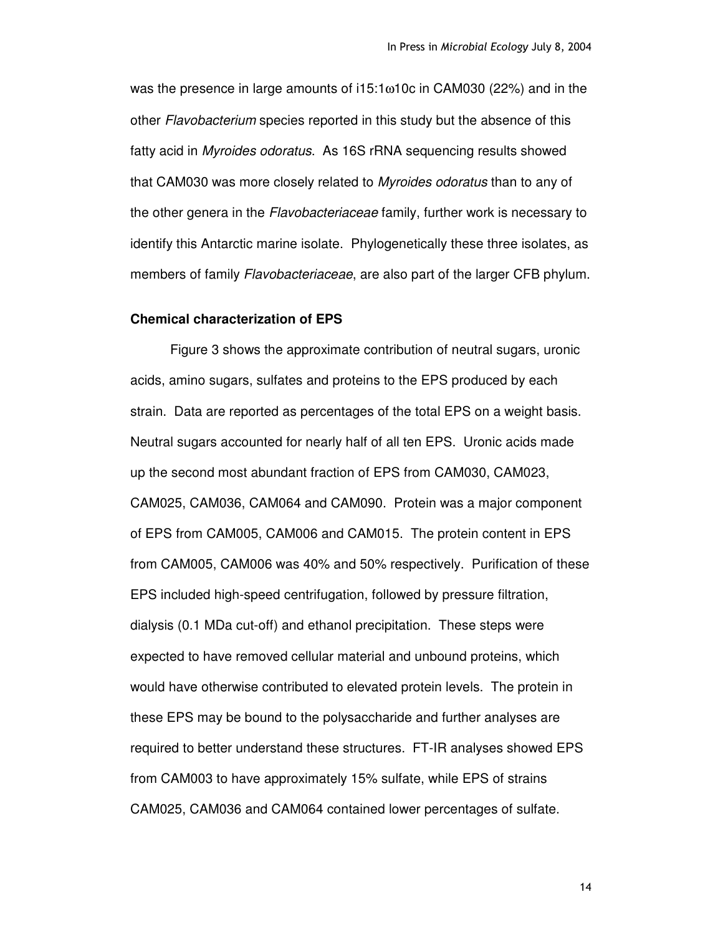was the presence in large amounts of i15:1 $\omega$ 10c in CAM030 (22%) and in the other *Flavobacterium* species reported in this study but the absence of this fatty acid in *Myroides odoratus*. As 16S rRNA sequencing results showed that CAM030 was more closely related to *Myroides odoratus* than to any of the other genera in the *Flavobacteriaceae* family, further work is necessary to identify this Antarctic marine isolate. Phylogenetically these three isolates, as members of family *Flavobacteriaceae*, are also part of the larger CFB phylum.

## **Chemical characterization of EPS**

Figure 3 shows the approximate contribution of neutral sugars, uronic acids, amino sugars, sulfates and proteins to the EPS produced by each strain. Data are reported as percentages of the total EPS on a weight basis. Neutral sugars accounted for nearly half of all ten EPS. Uronic acids made up the second most abundant fraction of EPS from CAM030, CAM023, CAM025, CAM036, CAM064 and CAM090. Protein was a major component of EPS from CAM005, CAM006 and CAM015. The protein content in EPS from CAM005, CAM006 was 40% and 50% respectively. Purification of these EPS included high-speed centrifugation, followed by pressure filtration, dialysis (0.1 MDa cut-off) and ethanol precipitation. These steps were expected to have removed cellular material and unbound proteins, which would have otherwise contributed to elevated protein levels. The protein in these EPS may be bound to the polysaccharide and further analyses are required to better understand these structures. FT-IR analyses showed EPS from CAM003 to have approximately 15% sulfate, while EPS of strains CAM025, CAM036 and CAM064 contained lower percentages of sulfate.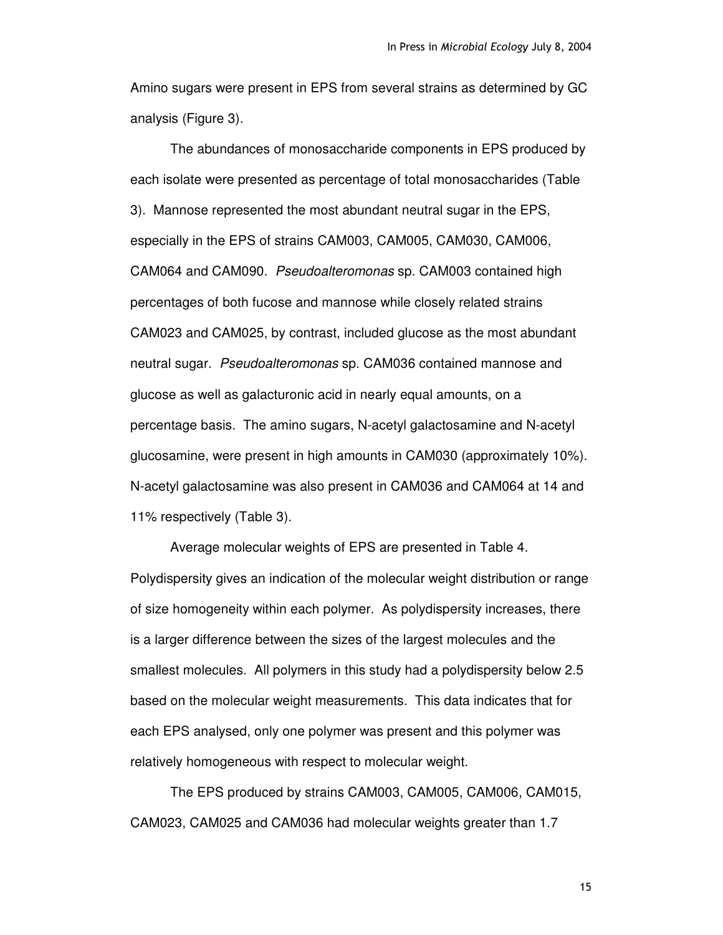Amino sugars were present in EPS from several strains as determined by GC analysis (Figure 3).

The abundances of monosaccharide components in EPS produced by each isolate were presented as percentage of total monosaccharides (Table 3). Mannose represented the most abundant neutral sugar in the EPS, especially in the EPS of strains CAM003, CAM005, CAM030, CAM006, CAM064 and CAM090. *Pseudoalteromonas* sp. CAM003 contained high percentages of both fucose and mannose while closely related strains CAM023 and CAM025, by contrast, included glucose as the most abundant neutral sugar. *Pseudoalteromonas* sp. CAM036 contained mannose and glucose as well as galacturonic acid in nearly equal amounts, on a percentage basis. The amino sugars, N-acetyl galactosamine and N-acetyl glucosamine, were present in high amounts in CAM030 (approximately 10%). N-acetyl galactosamine was also present in CAM036 and CAM064 at 14 and 11% respectively (Table 3).

Average molecular weights of EPS are presented in Table 4. Polydispersity gives an indication of the molecular weight distribution or range of size homogeneity within each polymer. As polydispersity increases, there is a larger difference between the sizes of the largest molecules and the smallest molecules. All polymers in this study had a polydispersity below 2.5 based on the molecular weight measurements. This data indicates that for each EPS analysed, only one polymer was present and this polymer was relatively homogeneous with respect to molecular weight.

The EPS produced by strains CAM003, CAM005, CAM006, CAM015, CAM023, CAM025 and CAM036 had molecular weights greater than 1.7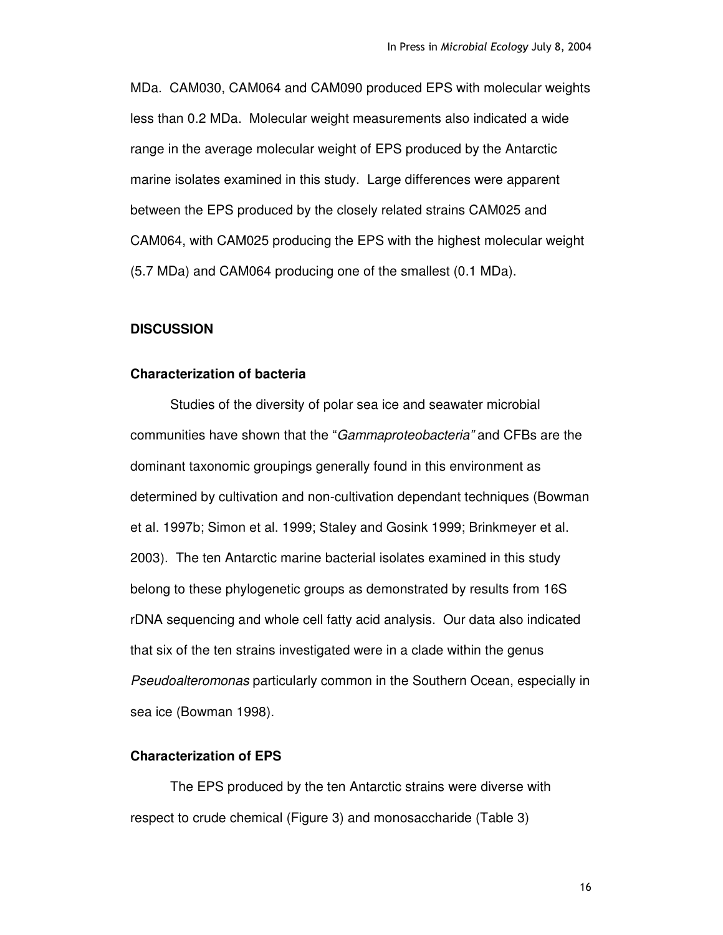MDa. CAM030, CAM064 and CAM090 produced EPS with molecular weights less than 0.2 MDa. Molecular weight measurements also indicated a wide range in the average molecular weight of EPS produced by the Antarctic marine isolates examined in this study. Large differences were apparent between the EPS produced by the closely related strains CAM025 and CAM064, with CAM025 producing the EPS with the highest molecular weight (5.7 MDa) and CAM064 producing one of the smallest (0.1 MDa).

## **DISCUSSION**

#### **Characterization of bacteria**

Studies of the diversity of polar sea ice and seawater microbial communities have shown that the "*Gammaproteobacteria"* and CFBs are the dominant taxonomic groupings generally found in this environment as determined by cultivation and non-cultivation dependant techniques (Bowman et al. 1997b; Simon et al. 1999; Staley and Gosink 1999; Brinkmeyer et al. 2003). The ten Antarctic marine bacterial isolates examined in this study belong to these phylogenetic groups as demonstrated by results from 16S rDNA sequencing and whole cell fatty acid analysis. Our data also indicated that six of the ten strains investigated were in a clade within the genus *Pseudoalteromonas* particularly common in the Southern Ocean, especially in sea ice (Bowman 1998).

# **Characterization of EPS**

The EPS produced by the ten Antarctic strains were diverse with respect to crude chemical (Figure 3) and monosaccharide (Table 3)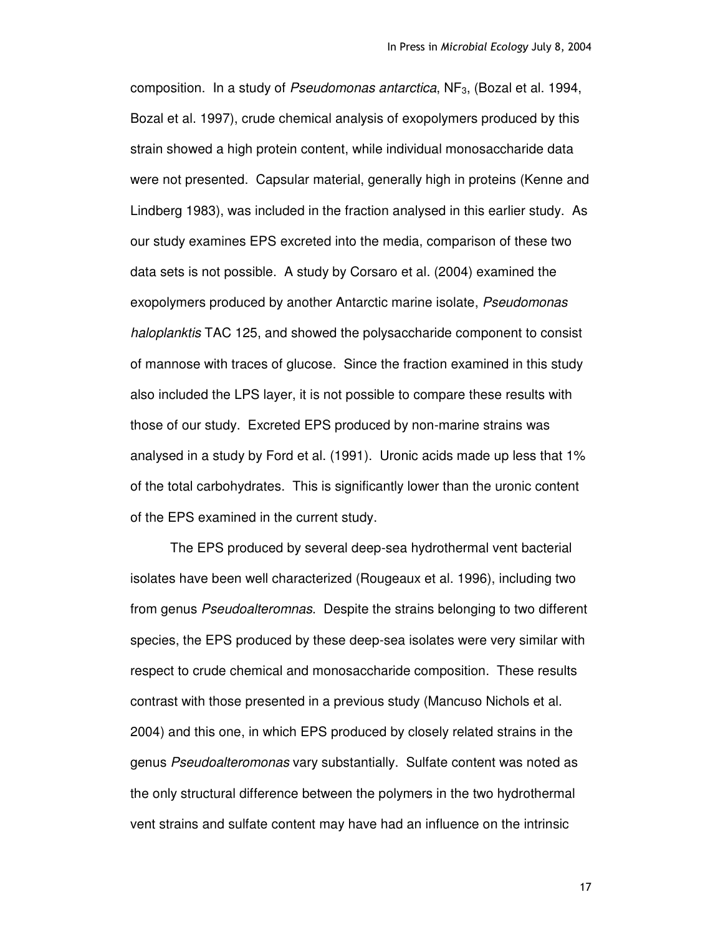composition. In a study of *Pseudomonas antarctica*, NF3, (Bozal et al. 1994, Bozal et al. 1997), crude chemical analysis of exopolymers produced by this strain showed a high protein content, while individual monosaccharide data were not presented. Capsular material, generally high in proteins (Kenne and Lindberg 1983), was included in the fraction analysed in this earlier study. As our study examines EPS excreted into the media, comparison of these two data sets is not possible. A study by Corsaro et al. (2004) examined the exopolymers produced by another Antarctic marine isolate, *Pseudomonas haloplanktis* TAC 125, and showed the polysaccharide component to consist of mannose with traces of glucose. Since the fraction examined in this study also included the LPS layer, it is not possible to compare these results with those of our study. Excreted EPS produced by non-marine strains was analysed in a study by Ford et al. (1991). Uronic acids made up less that 1% of the total carbohydrates. This is significantly lower than the uronic content of the EPS examined in the current study.

The EPS produced by several deep-sea hydrothermal vent bacterial isolates have been well characterized (Rougeaux et al. 1996), including two from genus *Pseudoalteromnas*. Despite the strains belonging to two different species, the EPS produced by these deep-sea isolates were very similar with respect to crude chemical and monosaccharide composition. These results contrast with those presented in a previous study (Mancuso Nichols et al. 2004) and this one, in which EPS produced by closely related strains in the genus *Pseudoalteromonas* vary substantially. Sulfate content was noted as the only structural difference between the polymers in the two hydrothermal vent strains and sulfate content may have had an influence on the intrinsic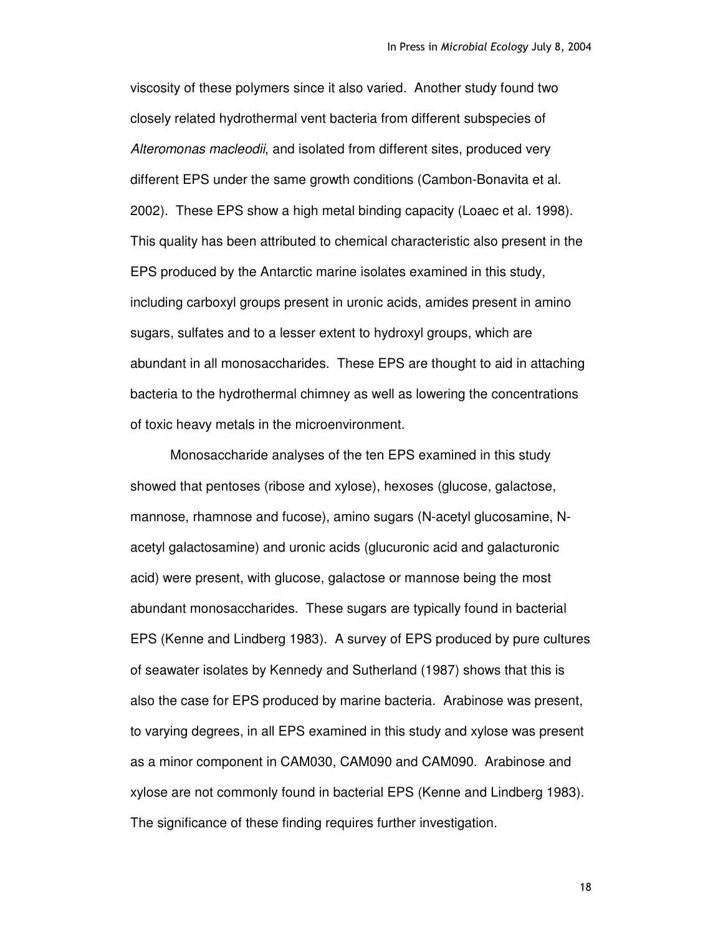viscosity of these polymers since it also varied. Another study found two closely related hydrothermal vent bacteria from different subspecies of *Alteromonas macleodii*, and isolated from different sites, produced very different EPS under the same growth conditions (Cambon-Bonavita et al. 2002). These EPS show a high metal binding capacity (Loaec et al. 1998). This quality has been attributed to chemical characteristic also present in the EPS produced by the Antarctic marine isolates examined in this study, including carboxyl groups present in uronic acids, amides present in amino sugars, sulfates and to a lesser extent to hydroxyl groups, which are abundant in all monosaccharides. These EPS are thought to aid in attaching bacteria to the hydrothermal chimney as well as lowering the concentrations of toxic heavy metals in the microenvironment.

Monosaccharide analyses of the ten EPS examined in this study showed that pentoses (ribose and xylose), hexoses (glucose, galactose, mannose, rhamnose and fucose), amino sugars (N-acetyl glucosamine, Nacetyl galactosamine) and uronic acids (glucuronic acid and galacturonic acid) were present, with glucose, galactose or mannose being the most abundant monosaccharides. These sugars are typically found in bacterial EPS (Kenne and Lindberg 1983). A survey of EPS produced by pure cultures of seawater isolates by Kennedy and Sutherland (1987) shows that this is also the case for EPS produced by marine bacteria. Arabinose was present, to varying degrees, in all EPS examined in this study and xylose was present as a minor component in CAM030, CAM090 and CAM090. Arabinose and xylose are not commonly found in bacterial EPS (Kenne and Lindberg 1983). The significance of these finding requires further investigation.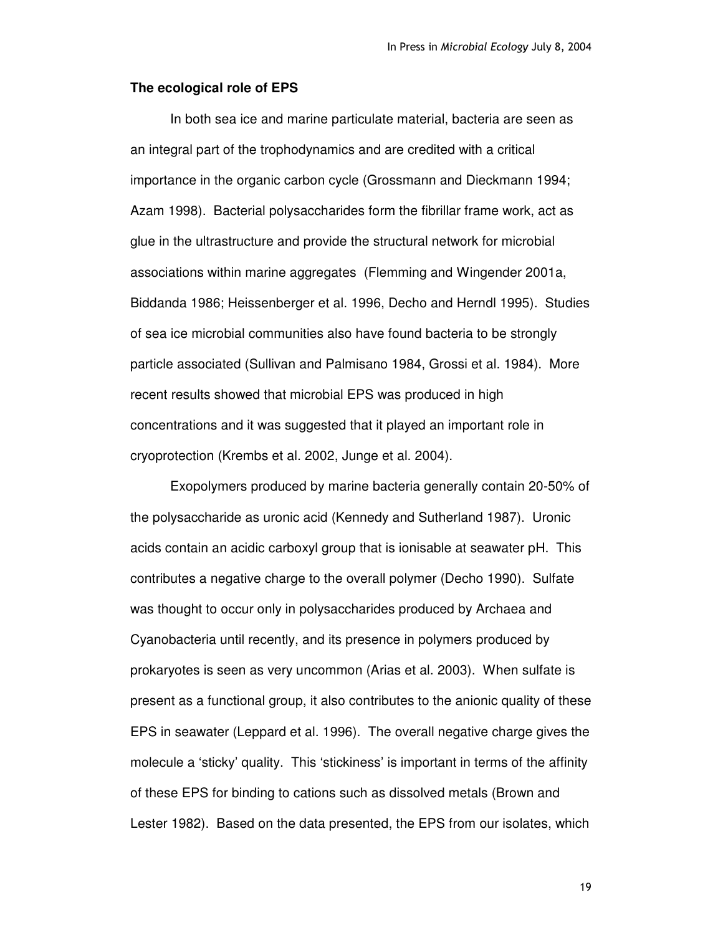#### **The ecological role of EPS**

In both sea ice and marine particulate material, bacteria are seen as an integral part of the trophodynamics and are credited with a critical importance in the organic carbon cycle (Grossmann and Dieckmann 1994; Azam 1998). Bacterial polysaccharides form the fibrillar frame work, act as glue in the ultrastructure and provide the structural network for microbial associations within marine aggregates (Flemming and Wingender 2001a, Biddanda 1986; Heissenberger et al. 1996, Decho and Herndl 1995). Studies of sea ice microbial communities also have found bacteria to be strongly particle associated (Sullivan and Palmisano 1984, Grossi et al. 1984). More recent results showed that microbial EPS was produced in high concentrations and it was suggested that it played an important role in cryoprotection (Krembs et al. 2002, Junge et al. 2004).

Exopolymers produced by marine bacteria generally contain 20-50% of the polysaccharide as uronic acid (Kennedy and Sutherland 1987). Uronic acids contain an acidic carboxyl group that is ionisable at seawater pH. This contributes a negative charge to the overall polymer (Decho 1990). Sulfate was thought to occur only in polysaccharides produced by Archaea and Cyanobacteria until recently, and its presence in polymers produced by prokaryotes is seen as very uncommon (Arias et al. 2003). When sulfate is present as a functional group, it also contributes to the anionic quality of these EPS in seawater (Leppard et al. 1996). The overall negative charge gives the molecule a 'sticky' quality. This 'stickiness' is important in terms of the affinity of these EPS for binding to cations such as dissolved metals (Brown and Lester 1982). Based on the data presented, the EPS from our isolates, which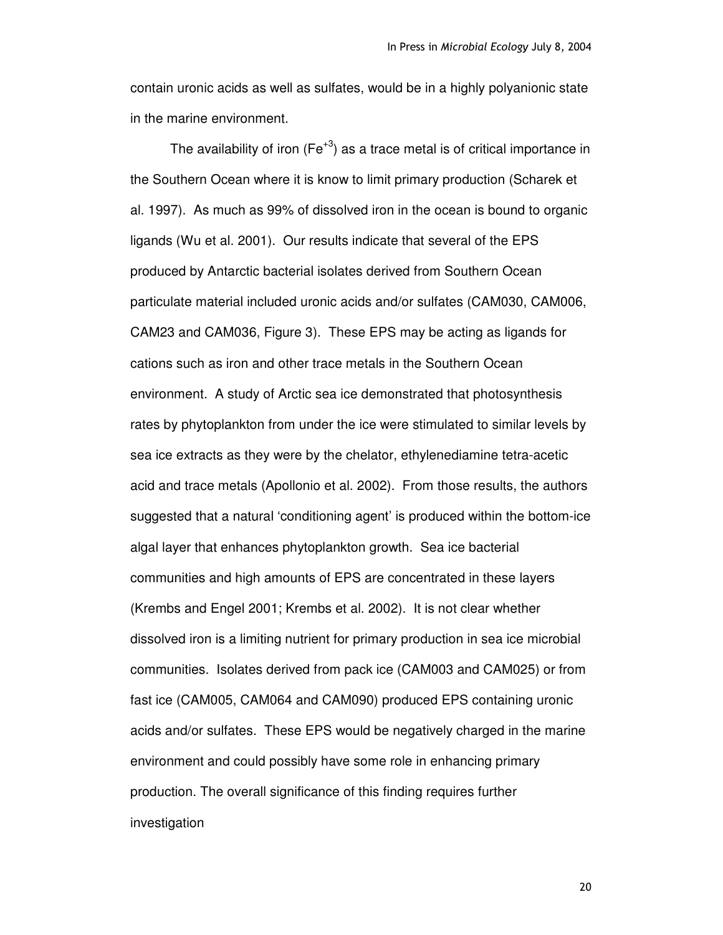contain uronic acids as well as sulfates, would be in a highly polyanionic state in the marine environment.

The availability of iron (Fe<sup>+3</sup>) as a trace metal is of critical importance in the Southern Ocean where it is know to limit primary production (Scharek et al. 1997). As much as 99% of dissolved iron in the ocean is bound to organic ligands (Wu et al. 2001). Our results indicate that several of the EPS produced by Antarctic bacterial isolates derived from Southern Ocean particulate material included uronic acids and/or sulfates (CAM030, CAM006, CAM23 and CAM036, Figure 3). These EPS may be acting as ligands for cations such as iron and other trace metals in the Southern Ocean environment. A study of Arctic sea ice demonstrated that photosynthesis rates by phytoplankton from under the ice were stimulated to similar levels by sea ice extracts as they were by the chelator, ethylenediamine tetra-acetic acid and trace metals (Apollonio et al. 2002). From those results, the authors suggested that a natural 'conditioning agent' is produced within the bottom-ice algal layer that enhances phytoplankton growth. Sea ice bacterial communities and high amounts of EPS are concentrated in these layers (Krembs and Engel 2001; Krembs et al. 2002). It is not clear whether dissolved iron is a limiting nutrient for primary production in sea ice microbial communities. Isolates derived from pack ice (CAM003 and CAM025) or from fast ice (CAM005, CAM064 and CAM090) produced EPS containing uronic acids and/or sulfates. These EPS would be negatively charged in the marine environment and could possibly have some role in enhancing primary production. The overall significance of this finding requires further investigation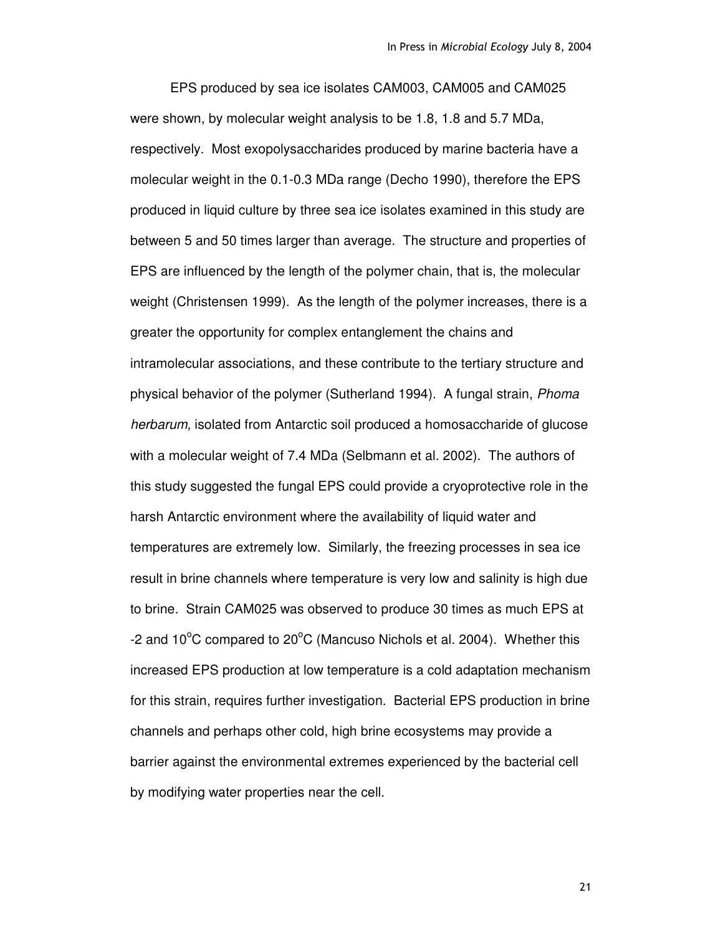EPS produced by sea ice isolates CAM003, CAM005 and CAM025 were shown, by molecular weight analysis to be 1.8, 1.8 and 5.7 MDa, respectively. Most exopolysaccharides produced by marine bacteria have a molecular weight in the 0.1-0.3 MDa range (Decho 1990), therefore the EPS produced in liquid culture by three sea ice isolates examined in this study are between 5 and 50 times larger than average. The structure and properties of EPS are influenced by the length of the polymer chain, that is, the molecular weight (Christensen 1999). As the length of the polymer increases, there is a greater the opportunity for complex entanglement the chains and intramolecular associations, and these contribute to the tertiary structure and physical behavior of the polymer (Sutherland 1994). A fungal strain, *Phoma herbarum,* isolated from Antarctic soil produced a homosaccharide of glucose with a molecular weight of 7.4 MDa (Selbmann et al. 2002). The authors of this study suggested the fungal EPS could provide a cryoprotective role in the harsh Antarctic environment where the availability of liquid water and temperatures are extremely low. Similarly, the freezing processes in sea ice result in brine channels where temperature is very low and salinity is high due to brine. Strain CAM025 was observed to produce 30 times as much EPS at -2 and  $10^{\circ}$ C compared to  $20^{\circ}$ C (Mancuso Nichols et al. 2004). Whether this increased EPS production at low temperature is a cold adaptation mechanism for this strain, requires further investigation. Bacterial EPS production in brine channels and perhaps other cold, high brine ecosystems may provide a barrier against the environmental extremes experienced by the bacterial cell by modifying water properties near the cell.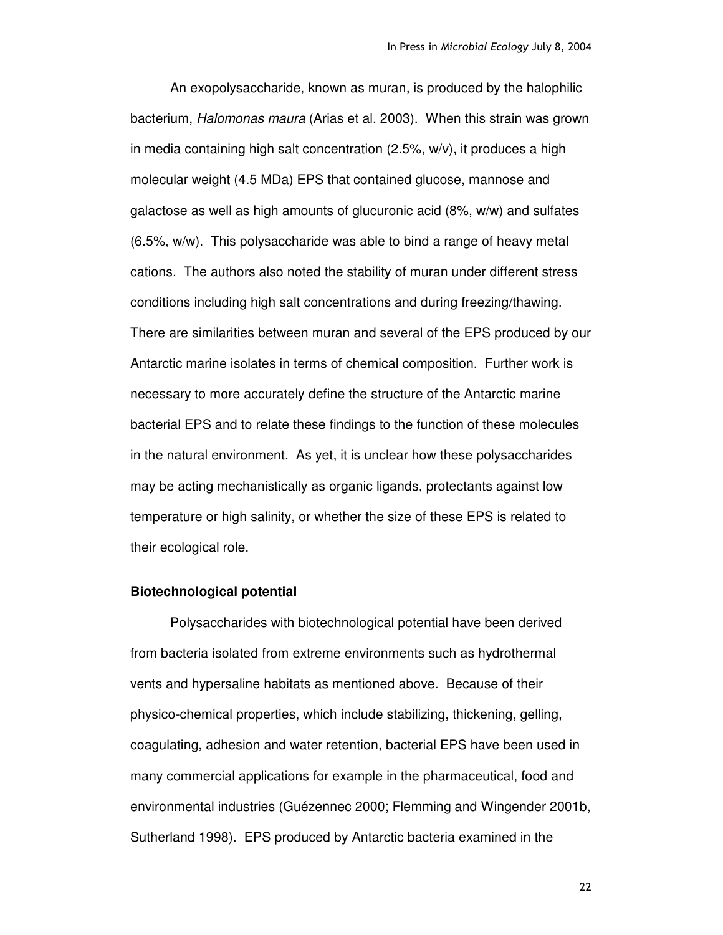An exopolysaccharide, known as muran, is produced by the halophilic bacterium, *Halomonas maura* (Arias et al. 2003). When this strain was grown in media containing high salt concentration (2.5%, w/v), it produces a high molecular weight (4.5 MDa) EPS that contained glucose, mannose and galactose as well as high amounts of glucuronic acid (8%, w/w) and sulfates (6.5%, w/w). This polysaccharide was able to bind a range of heavy metal cations. The authors also noted the stability of muran under different stress conditions including high salt concentrations and during freezing/thawing. There are similarities between muran and several of the EPS produced by our Antarctic marine isolates in terms of chemical composition. Further work is necessary to more accurately define the structure of the Antarctic marine bacterial EPS and to relate these findings to the function of these molecules in the natural environment. As yet, it is unclear how these polysaccharides may be acting mechanistically as organic ligands, protectants against low temperature or high salinity, or whether the size of these EPS is related to their ecological role.

#### **Biotechnological potential**

Polysaccharides with biotechnological potential have been derived from bacteria isolated from extreme environments such as hydrothermal vents and hypersaline habitats as mentioned above. Because of their physico-chemical properties, which include stabilizing, thickening, gelling, coagulating, adhesion and water retention, bacterial EPS have been used in many commercial applications for example in the pharmaceutical, food and environmental industries (Guézennec 2000; Flemming and Wingender 2001b, Sutherland 1998). EPS produced by Antarctic bacteria examined in the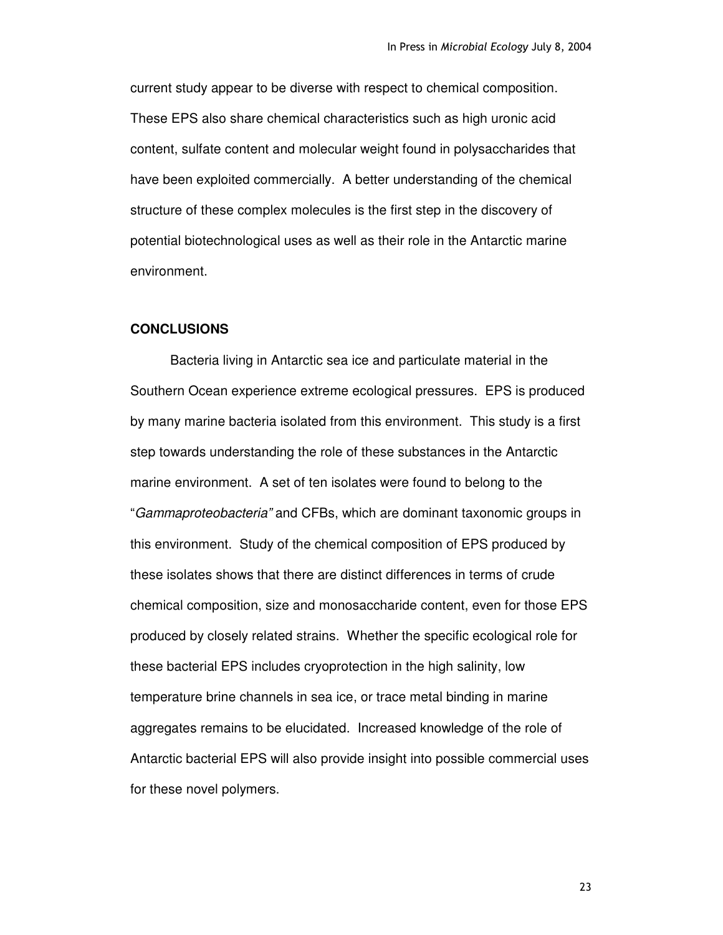current study appear to be diverse with respect to chemical composition. These EPS also share chemical characteristics such as high uronic acid content, sulfate content and molecular weight found in polysaccharides that have been exploited commercially. A better understanding of the chemical structure of these complex molecules is the first step in the discovery of potential biotechnological uses as well as their role in the Antarctic marine environment.

# **CONCLUSIONS**

Bacteria living in Antarctic sea ice and particulate material in the Southern Ocean experience extreme ecological pressures. EPS is produced by many marine bacteria isolated from this environment. This study is a first step towards understanding the role of these substances in the Antarctic marine environment. A set of ten isolates were found to belong to the "*Gammaproteobacteria"* and CFBs, which are dominant taxonomic groups in this environment. Study of the chemical composition of EPS produced by these isolates shows that there are distinct differences in terms of crude chemical composition, size and monosaccharide content, even for those EPS produced by closely related strains. Whether the specific ecological role for these bacterial EPS includes cryoprotection in the high salinity, low temperature brine channels in sea ice, or trace metal binding in marine aggregates remains to be elucidated. Increased knowledge of the role of Antarctic bacterial EPS will also provide insight into possible commercial uses for these novel polymers.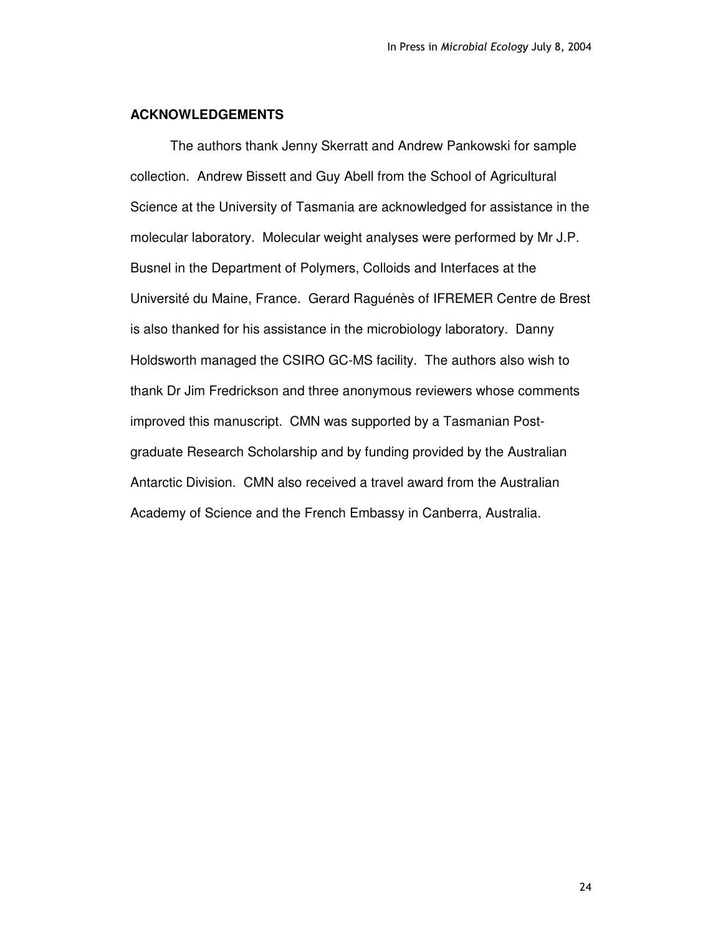## **ACKNOWLEDGEMENTS**

The authors thank Jenny Skerratt and Andrew Pankowski for sample collection. Andrew Bissett and Guy Abell from the School of Agricultural Science at the University of Tasmania are acknowledged for assistance in the molecular laboratory. Molecular weight analyses were performed by Mr J.P. Busnel in the Department of Polymers, Colloids and Interfaces at the Université du Maine, France. Gerard Raguénès of IFREMER Centre de Brest is also thanked for his assistance in the microbiology laboratory. Danny Holdsworth managed the CSIRO GC-MS facility. The authors also wish to thank Dr Jim Fredrickson and three anonymous reviewers whose comments improved this manuscript. CMN was supported by a Tasmanian Postgraduate Research Scholarship and by funding provided by the Australian Antarctic Division. CMN also received a travel award from the Australian Academy of Science and the French Embassy in Canberra, Australia.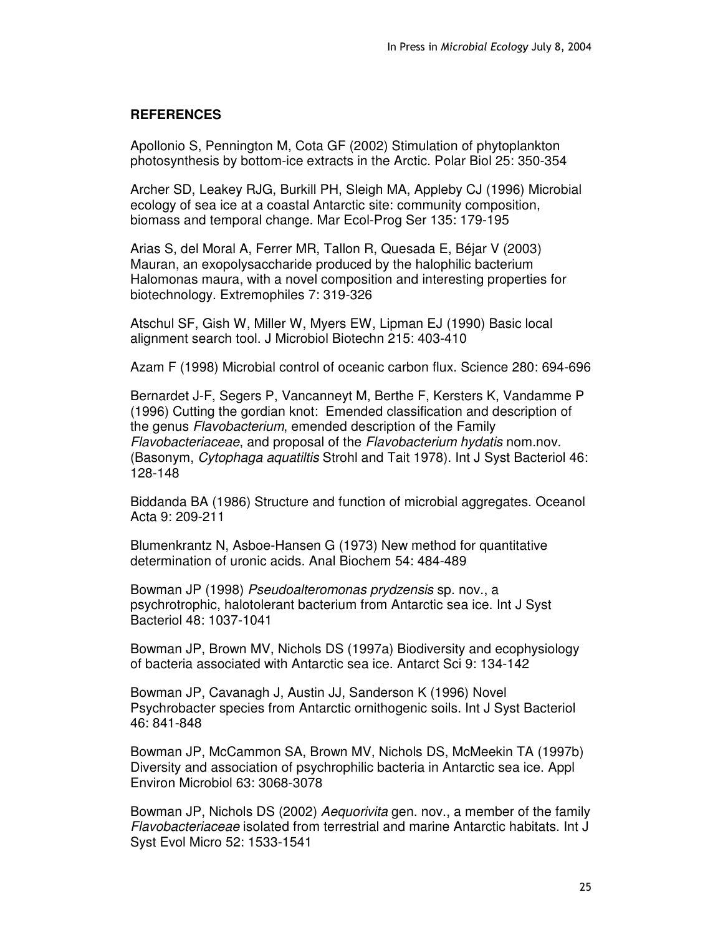# **REFERENCES**

Apollonio S, Pennington M, Cota GF (2002) Stimulation of phytoplankton photosynthesis by bottom-ice extracts in the Arctic. Polar Biol 25: 350-354

Archer SD, Leakey RJG, Burkill PH, Sleigh MA, Appleby CJ (1996) Microbial ecology of sea ice at a coastal Antarctic site: community composition, biomass and temporal change. Mar Ecol-Prog Ser 135: 179-195

Arias S, del Moral A, Ferrer MR, Tallon R, Quesada E, Béjar V (2003) Mauran, an exopolysaccharide produced by the halophilic bacterium Halomonas maura, with a novel composition and interesting properties for biotechnology. Extremophiles 7: 319-326

Atschul SF, Gish W, Miller W, Myers EW, Lipman EJ (1990) Basic local alignment search tool. J Microbiol Biotechn 215: 403-410

Azam F (1998) Microbial control of oceanic carbon flux. Science 280: 694-696

Bernardet J-F, Segers P, Vancanneyt M, Berthe F, Kersters K, Vandamme P (1996) Cutting the gordian knot: Emended classification and description of the genus *Flavobacterium*, emended description of the Family *Flavobacteriaceae*, and proposal of the *Flavobacterium hydatis* nom.nov. (Basonym, *Cytophaga aquatiltis* Strohl and Tait 1978). Int J Syst Bacteriol 46: 128-148

Biddanda BA (1986) Structure and function of microbial aggregates. Oceanol Acta 9: 209-211

Blumenkrantz N, Asboe-Hansen G (1973) New method for quantitative determination of uronic acids. Anal Biochem 54: 484-489

Bowman JP (1998) *Pseudoalteromonas prydzensis* sp. nov., a psychrotrophic, halotolerant bacterium from Antarctic sea ice. Int J Syst Bacteriol 48: 1037-1041

Bowman JP, Brown MV, Nichols DS (1997a) Biodiversity and ecophysiology of bacteria associated with Antarctic sea ice. Antarct Sci 9: 134-142

Bowman JP, Cavanagh J, Austin JJ, Sanderson K (1996) Novel Psychrobacter species from Antarctic ornithogenic soils. Int J Syst Bacteriol 46: 841-848

Bowman JP, McCammon SA, Brown MV, Nichols DS, McMeekin TA (1997b) Diversity and association of psychrophilic bacteria in Antarctic sea ice. Appl Environ Microbiol 63: 3068-3078

Bowman JP, Nichols DS (2002) *Aequorivita* gen. nov., a member of the family *Flavobacteriaceae* isolated from terrestrial and marine Antarctic habitats. Int J Syst Evol Micro 52: 1533-1541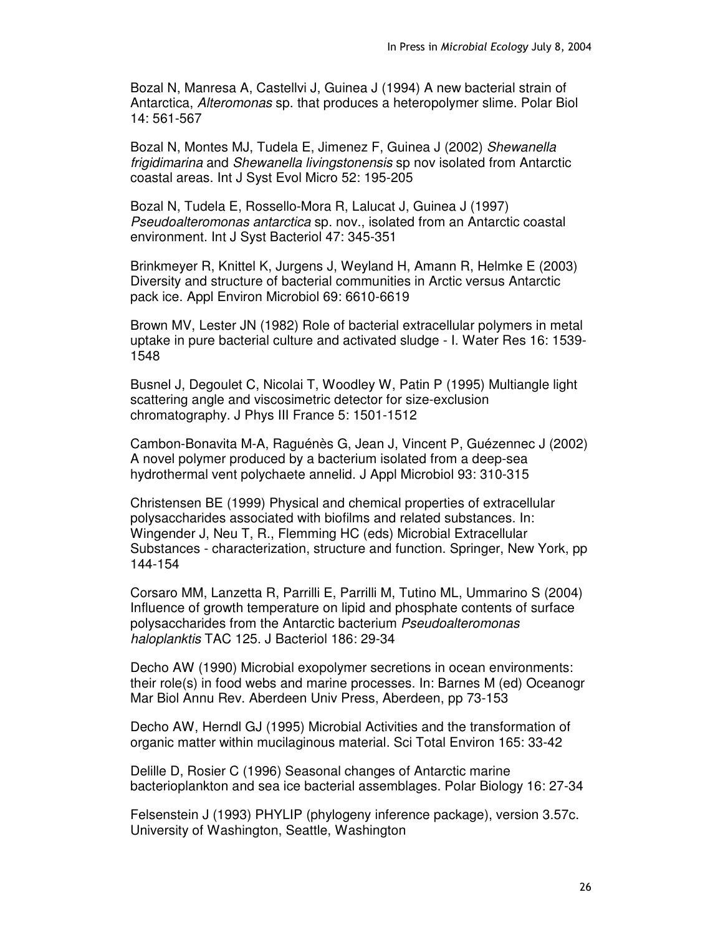Bozal N, Manresa A, Castellvi J, Guinea J (1994) A new bacterial strain of Antarctica, *Alteromonas* sp. that produces a heteropolymer slime. Polar Biol 14: 561-567

Bozal N, Montes MJ, Tudela E, Jimenez F, Guinea J (2002) *Shewanella frigidimarina* and *Shewanella livingstonensis* sp nov isolated from Antarctic coastal areas. Int J Syst Evol Micro 52: 195-205

Bozal N, Tudela E, Rossello-Mora R, Lalucat J, Guinea J (1997) *Pseudoalteromonas antarctica* sp. nov., isolated from an Antarctic coastal environment. Int J Syst Bacteriol 47: 345-351

Brinkmeyer R, Knittel K, Jurgens J, Weyland H, Amann R, Helmke E (2003) Diversity and structure of bacterial communities in Arctic versus Antarctic pack ice. Appl Environ Microbiol 69: 6610-6619

Brown MV, Lester JN (1982) Role of bacterial extracellular polymers in metal uptake in pure bacterial culture and activated sludge - I. Water Res 16: 1539- 1548

Busnel J, Degoulet C, Nicolai T, Woodley W, Patin P (1995) Multiangle light scattering angle and viscosimetric detector for size-exclusion chromatography. J Phys III France 5: 1501-1512

Cambon-Bonavita M-A, Raguénès G, Jean J, Vincent P, Guézennec J (2002) A novel polymer produced by a bacterium isolated from a deep-sea hydrothermal vent polychaete annelid. J Appl Microbiol 93: 310-315

Christensen BE (1999) Physical and chemical properties of extracellular polysaccharides associated with biofilms and related substances. In: Wingender J, Neu T, R., Flemming HC (eds) Microbial Extracellular Substances - characterization, structure and function. Springer, New York, pp 144-154

Corsaro MM, Lanzetta R, Parrilli E, Parrilli M, Tutino ML, Ummarino S (2004) Influence of growth temperature on lipid and phosphate contents of surface polysaccharides from the Antarctic bacterium *Pseudoalteromonas haloplanktis* TAC 125. J Bacteriol 186: 29-34

Decho AW (1990) Microbial exopolymer secretions in ocean environments: their role(s) in food webs and marine processes. In: Barnes M (ed) Oceanogr Mar Biol Annu Rev. Aberdeen Univ Press, Aberdeen, pp 73-153

Decho AW, Herndl GJ (1995) Microbial Activities and the transformation of organic matter within mucilaginous material. Sci Total Environ 165: 33-42

Delille D, Rosier C (1996) Seasonal changes of Antarctic marine bacterioplankton and sea ice bacterial assemblages. Polar Biology 16: 27-34

Felsenstein J (1993) PHYLIP (phylogeny inference package), version 3.57c. University of Washington, Seattle, Washington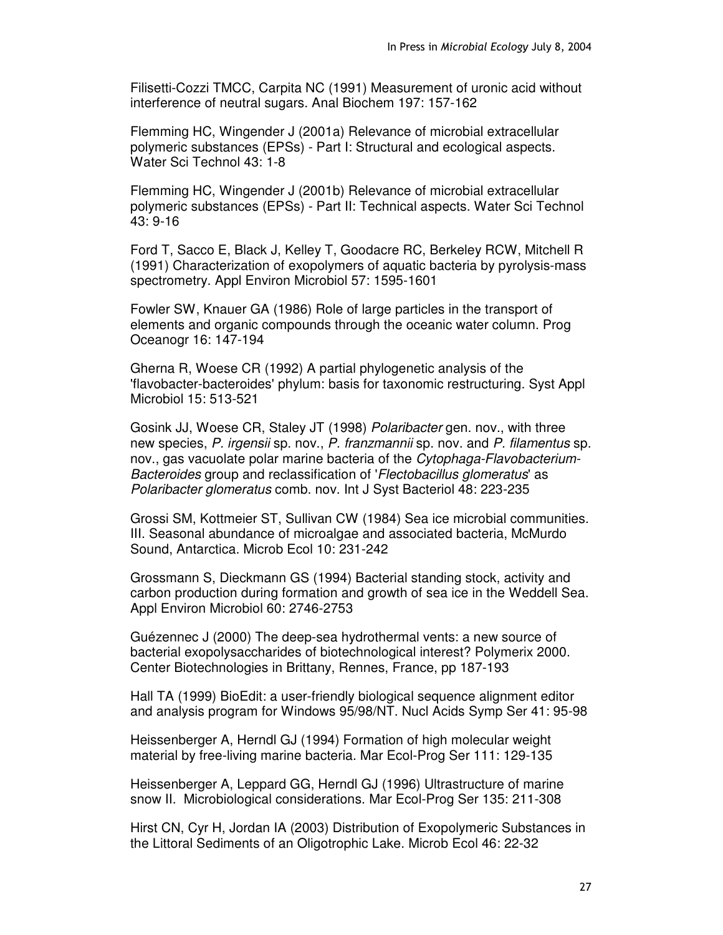Filisetti-Cozzi TMCC, Carpita NC (1991) Measurement of uronic acid without interference of neutral sugars. Anal Biochem 197: 157-162

Flemming HC, Wingender J (2001a) Relevance of microbial extracellular polymeric substances (EPSs) - Part I: Structural and ecological aspects. Water Sci Technol 43: 1-8

Flemming HC, Wingender J (2001b) Relevance of microbial extracellular polymeric substances (EPSs) - Part II: Technical aspects. Water Sci Technol 43: 9-16

Ford T, Sacco E, Black J, Kelley T, Goodacre RC, Berkeley RCW, Mitchell R (1991) Characterization of exopolymers of aquatic bacteria by pyrolysis-mass spectrometry. Appl Environ Microbiol 57: 1595-1601

Fowler SW, Knauer GA (1986) Role of large particles in the transport of elements and organic compounds through the oceanic water column. Prog Oceanogr 16: 147-194

Gherna R, Woese CR (1992) A partial phylogenetic analysis of the 'flavobacter-bacteroides'phylum: basis for taxonomic restructuring. Syst Appl Microbiol 15: 513-521

Gosink JJ, Woese CR, Staley JT (1998) *Polaribacter* gen. nov., with three new species, *P. irgensii* sp. nov., *P. franzmannii* sp. nov. and *P. filamentus* sp. nov., gas vacuolate polar marine bacteria of the *Cytophaga-Flavobacterium-Bacteroides* group and reclassification of '*Flectobacillus glomeratus*'as *Polaribacter glomeratus* comb. nov. Int J Syst Bacteriol 48: 223-235

Grossi SM, Kottmeier ST, Sullivan CW (1984) Sea ice microbial communities. III. Seasonal abundance of microalgae and associated bacteria, McMurdo Sound, Antarctica. Microb Ecol 10: 231-242

Grossmann S, Dieckmann GS (1994) Bacterial standing stock, activity and carbon production during formation and growth of sea ice in the Weddell Sea. Appl Environ Microbiol 60: 2746-2753

Guézennec J (2000) The deep-sea hydrothermal vents: a new source of bacterial exopolysaccharides of biotechnological interest? Polymerix 2000. Center Biotechnologies in Brittany, Rennes, France, pp 187-193

Hall TA (1999) BioEdit: a user-friendly biological sequence alignment editor and analysis program for Windows 95/98/NT. Nucl Acids Symp Ser 41: 95-98

Heissenberger A, Herndl GJ (1994) Formation of high molecular weight material by free-living marine bacteria. Mar Ecol-Prog Ser 111: 129-135

Heissenberger A, Leppard GG, Herndl GJ (1996) Ultrastructure of marine snow II. Microbiological considerations. Mar Ecol-Prog Ser 135: 211-308

Hirst CN, Cyr H, Jordan IA (2003) Distribution of Exopolymeric Substances in the Littoral Sediments of an Oligotrophic Lake. Microb Ecol 46: 22-32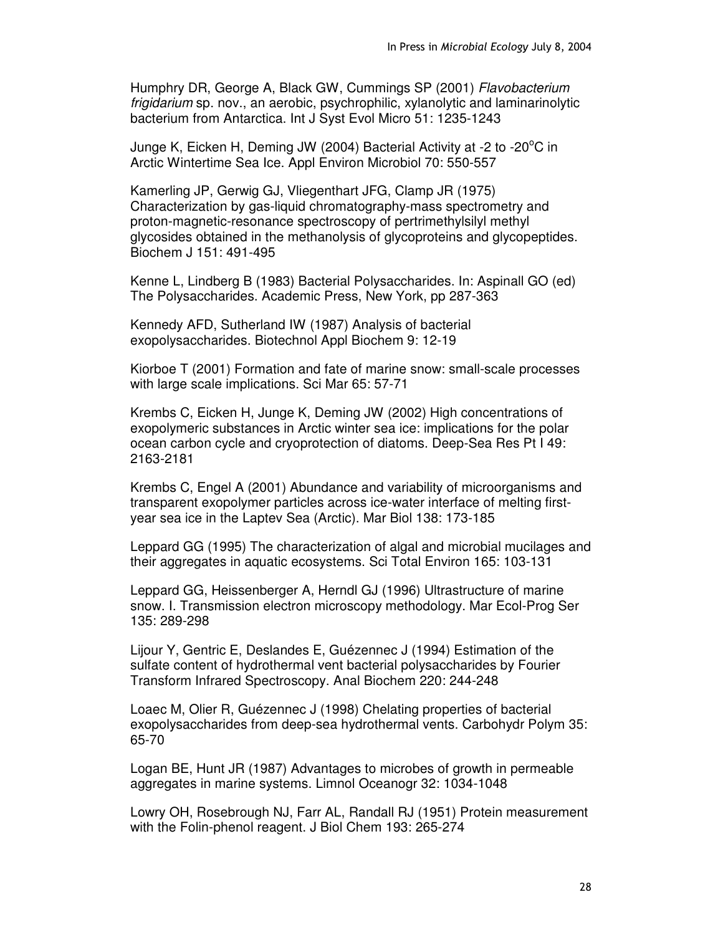Humphry DR, George A, Black GW, Cummings SP (2001) *Flavobacterium frigidarium* sp. nov., an aerobic, psychrophilic, xylanolytic and laminarinolytic bacterium from Antarctica. Int J Syst Evol Micro 51: 1235-1243

Junge K, Eicken H, Deming JW (2004) Bacterial Activity at -2 to -20<sup>o</sup>C in Arctic Wintertime Sea Ice. Appl Environ Microbiol 70: 550-557

Kamerling JP, Gerwig GJ, Vliegenthart JFG, Clamp JR (1975) Characterization by gas-liquid chromatography-mass spectrometry and proton-magnetic-resonance spectroscopy of pertrimethylsilyl methyl glycosides obtained in the methanolysis of glycoproteins and glycopeptides. Biochem J 151: 491-495

Kenne L, Lindberg B (1983) Bacterial Polysaccharides. In: Aspinall GO (ed) The Polysaccharides. Academic Press, New York, pp 287-363

Kennedy AFD, Sutherland IW (1987) Analysis of bacterial exopolysaccharides. Biotechnol Appl Biochem 9: 12-19

Kiorboe T (2001) Formation and fate of marine snow: small-scale processes with large scale implications. Sci Mar 65: 57-71

Krembs C, Eicken H, Junge K, Deming JW (2002) High concentrations of exopolymeric substances in Arctic winter sea ice: implications for the polar ocean carbon cycle and cryoprotection of diatoms. Deep-Sea Res Pt I 49: 2163-2181

Krembs C, Engel A (2001) Abundance and variability of microorganisms and transparent exopolymer particles across ice-water interface of melting firstyear sea ice in the Laptev Sea (Arctic). Mar Biol 138: 173-185

Leppard GG (1995) The characterization of algal and microbial mucilages and their aggregates in aquatic ecosystems. Sci Total Environ 165: 103-131

Leppard GG, Heissenberger A, Herndl GJ (1996) Ultrastructure of marine snow. I. Transmission electron microscopy methodology. Mar Ecol-Prog Ser 135: 289-298

Lijour Y, Gentric E, Deslandes E, Guézennec J (1994) Estimation of the sulfate content of hydrothermal vent bacterial polysaccharides by Fourier Transform Infrared Spectroscopy. Anal Biochem 220: 244-248

Loaec M, Olier R, Guézennec J (1998) Chelating properties of bacterial exopolysaccharides from deep-sea hydrothermal vents. Carbohydr Polym 35: 65-70

Logan BE, Hunt JR (1987) Advantages to microbes of growth in permeable aggregates in marine systems. Limnol Oceanogr 32: 1034-1048

Lowry OH, Rosebrough NJ, Farr AL, Randall RJ (1951) Protein measurement with the Folin-phenol reagent. J Biol Chem 193: 265-274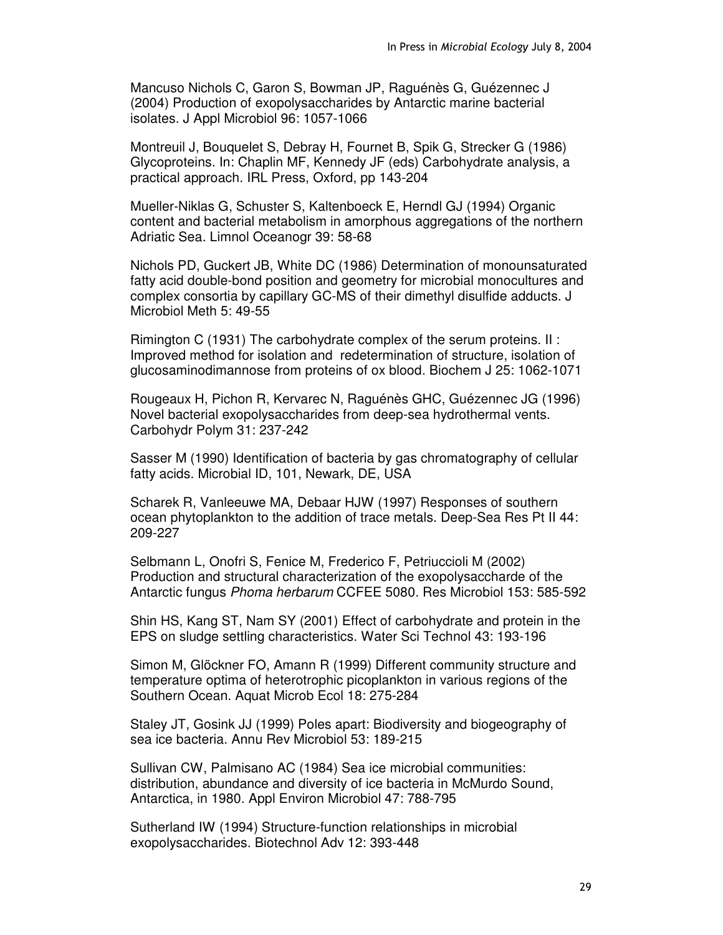Mancuso Nichols C, Garon S, Bowman JP, Raguénès G, Guézennec J (2004) Production of exopolysaccharides by Antarctic marine bacterial isolates. J Appl Microbiol 96: 1057-1066

Montreuil J, Bouquelet S, Debray H, Fournet B, Spik G, Strecker G (1986) Glycoproteins. In: Chaplin MF, Kennedy JF (eds) Carbohydrate analysis, a practical approach. IRL Press, Oxford, pp 143-204

Mueller-Niklas G, Schuster S, Kaltenboeck E, Herndl GJ (1994) Organic content and bacterial metabolism in amorphous aggregations of the northern Adriatic Sea. Limnol Oceanogr 39: 58-68

Nichols PD, Guckert JB, White DC (1986) Determination of monounsaturated fatty acid double-bond position and geometry for microbial monocultures and complex consortia by capillary GC-MS of their dimethyl disulfide adducts. J Microbiol Meth 5: 49-55

Rimington C (1931) The carbohydrate complex of the serum proteins. II : Improved method for isolation and redetermination of structure, isolation of glucosaminodimannose from proteins of ox blood. Biochem J 25: 1062-1071

Rougeaux H, Pichon R, Kervarec N, Raguénès GHC, Guézennec JG (1996) Novel bacterial exopolysaccharides from deep-sea hydrothermal vents. Carbohydr Polym 31: 237-242

Sasser M (1990) Identification of bacteria by gas chromatography of cellular fatty acids. Microbial ID, 101, Newark, DE, USA

Scharek R, Vanleeuwe MA, Debaar HJW (1997) Responses of southern ocean phytoplankton to the addition of trace metals. Deep-Sea Res Pt II 44: 209-227

Selbmann L, Onofri S, Fenice M, Frederico F, Petriuccioli M (2002) Production and structural characterization of the exopolysaccharde of the Antarctic fungus *Phoma herbarum* CCFEE 5080. Res Microbiol 153: 585-592

Shin HS, Kang ST, Nam SY (2001) Effect of carbohydrate and protein in the EPS on sludge settling characteristics. Water Sci Technol 43: 193-196

Simon M, Glöckner FO, Amann R (1999) Different community structure and temperature optima of heterotrophic picoplankton in various regions of the Southern Ocean. Aquat Microb Ecol 18: 275-284

Staley JT, Gosink JJ (1999) Poles apart: Biodiversity and biogeography of sea ice bacteria. Annu Rev Microbiol 53: 189-215

Sullivan CW, Palmisano AC (1984) Sea ice microbial communities: distribution, abundance and diversity of ice bacteria in McMurdo Sound, Antarctica, in 1980. Appl Environ Microbiol 47: 788-795

Sutherland IW (1994) Structure-function relationships in microbial exopolysaccharides. Biotechnol Adv 12: 393-448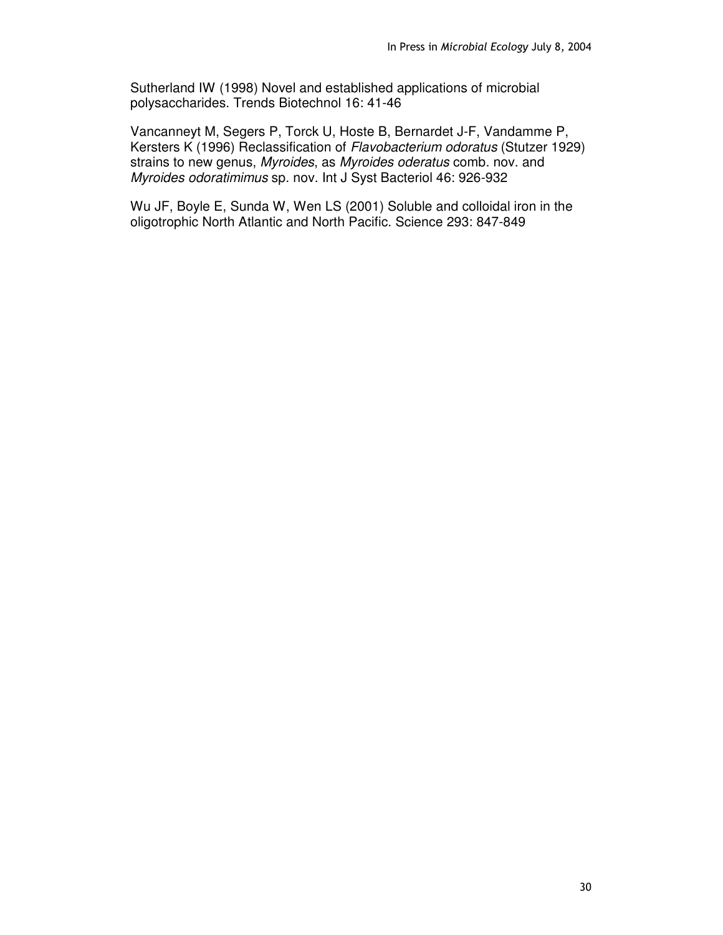Sutherland IW (1998) Novel and established applications of microbial polysaccharides. Trends Biotechnol 16: 41-46

Vancanneyt M, Segers P, Torck U, Hoste B, Bernardet J-F, Vandamme P, Kersters K (1996) Reclassification of *Flavobacterium odoratus* (Stutzer 1929) strains to new genus, *Myroides*, as *Myroides oderatus* comb. nov. and *Myroides odoratimimus* sp. nov. Int J Syst Bacteriol 46: 926-932

Wu JF, Boyle E, Sunda W, Wen LS (2001) Soluble and colloidal iron in the oligotrophic North Atlantic and North Pacific. Science 293: 847-849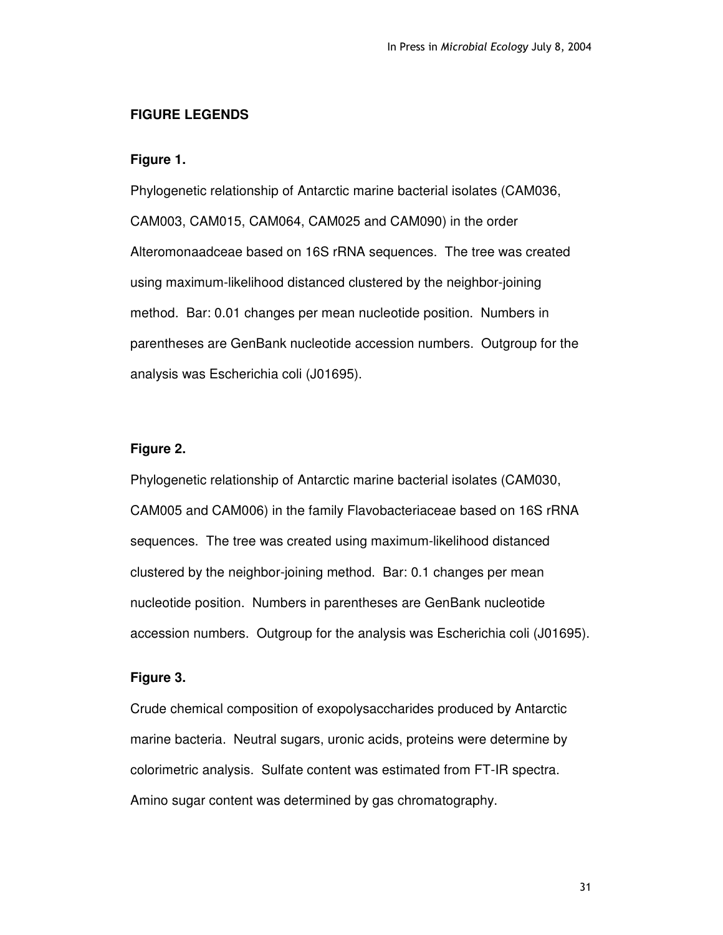# **FIGURE LEGENDS**

#### **Figure 1.**

Phylogenetic relationship of Antarctic marine bacterial isolates (CAM036, CAM003, CAM015, CAM064, CAM025 and CAM090) in the order Alteromonaadceae based on 16S rRNA sequences. The tree was created using maximum-likelihood distanced clustered by the neighbor-joining method. Bar: 0.01 changes per mean nucleotide position. Numbers in parentheses are GenBank nucleotide accession numbers. Outgroup for the analysis was Escherichia coli (J01695).

# **Figure 2.**

Phylogenetic relationship of Antarctic marine bacterial isolates (CAM030, CAM005 and CAM006) in the family Flavobacteriaceae based on 16S rRNA sequences. The tree was created using maximum-likelihood distanced clustered by the neighbor-joining method. Bar: 0.1 changes per mean nucleotide position. Numbers in parentheses are GenBank nucleotide accession numbers. Outgroup for the analysis was Escherichia coli (J01695).

# **Figure 3.**

Crude chemical composition of exopolysaccharides produced by Antarctic marine bacteria. Neutral sugars, uronic acids, proteins were determine by colorimetric analysis. Sulfate content was estimated from FT-IR spectra. Amino sugar content was determined by gas chromatography.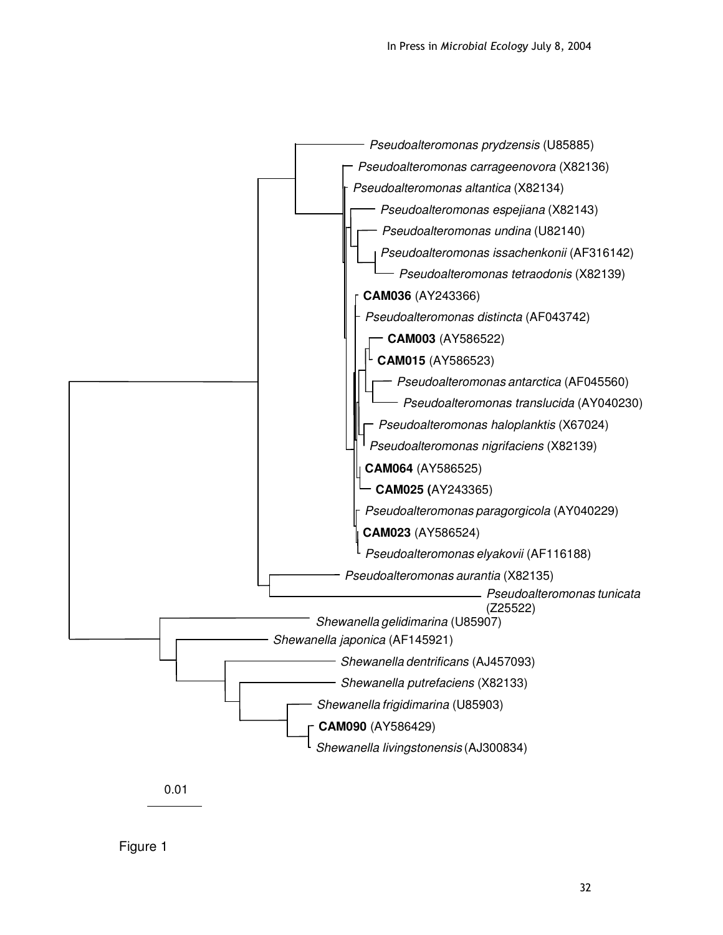



Figure 1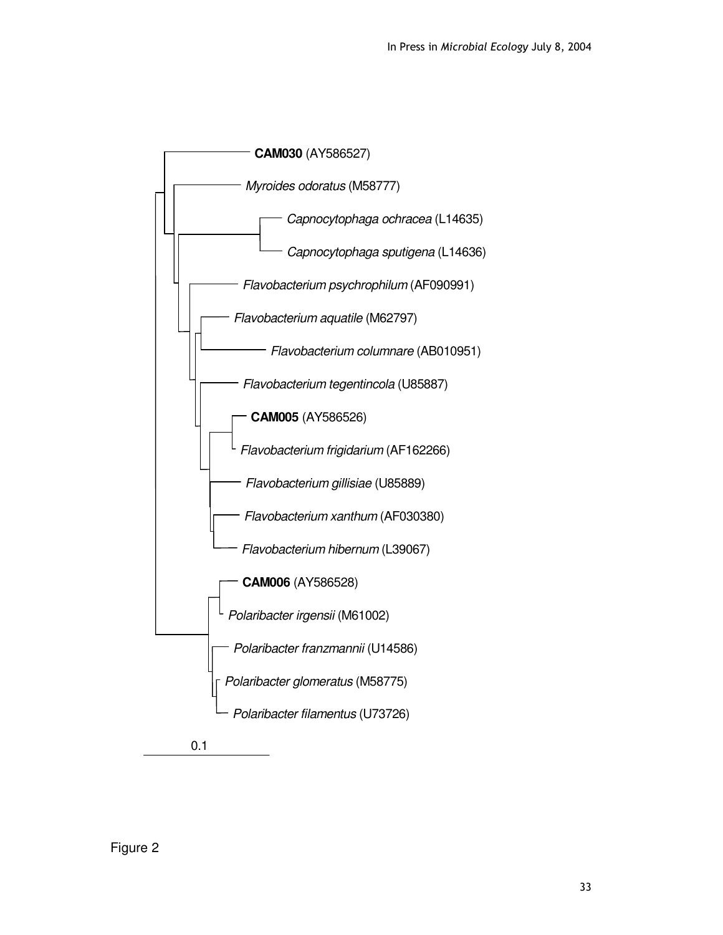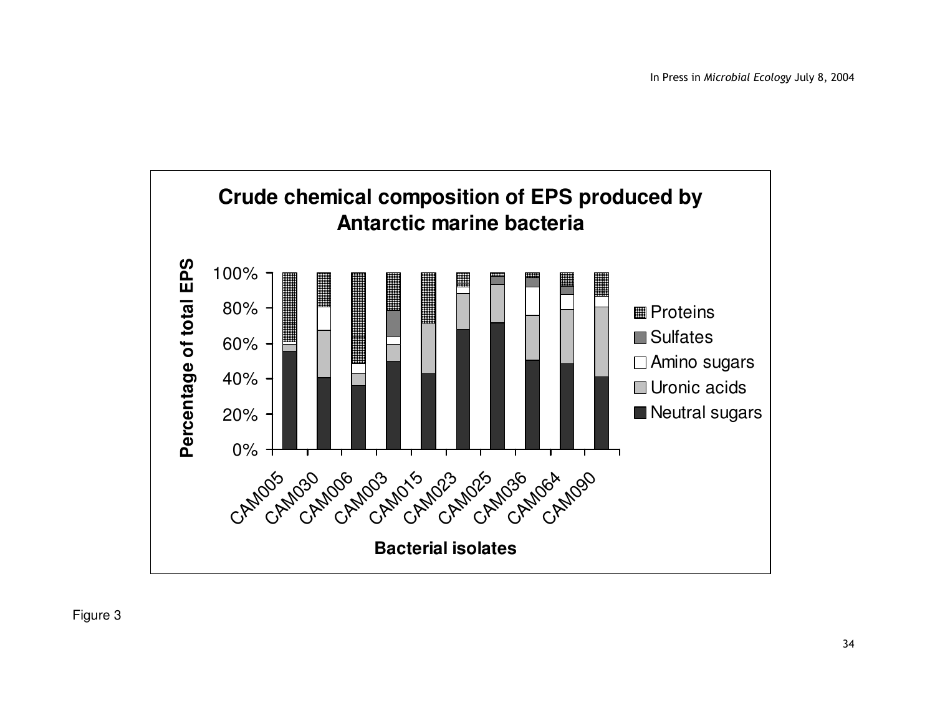

Figure 3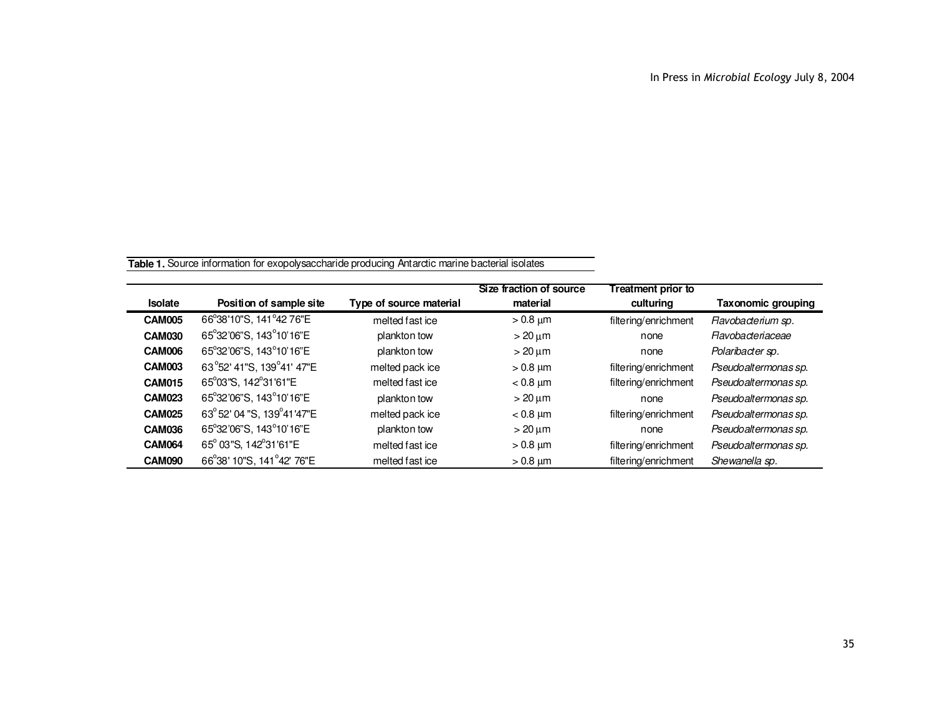**Table 1.** Source information for exopolysaccharide producing Antarctic marine bacterial isolates

| <b>Isolate</b> | Position of sample site       | Type of source material | Size fraction of source<br>material | <b>Treatment prior to</b><br>culturing | <b>Taxonomic grouping</b> |
|----------------|-------------------------------|-------------------------|-------------------------------------|----------------------------------------|---------------------------|
|                |                               |                         |                                     |                                        |                           |
| <b>CAM005</b>  | 66°38'10"S, 141°42 76"E       | melted fast ice         | $>0.8 \mu m$                        | filtering/enrichment                   | Flavobacterium sp.        |
| <b>CAM030</b>  | 65°32'06"S, 143°10'16"E       | plankton tow            | $>$ 20 $\mu$ m                      | none                                   | <b>Flavobacteriaceae</b>  |
| <b>CAM006</b>  | 65°32'06"S, 143°10'16"E       | plankton tow            | $>20 \mu m$                         | none                                   | Polaribacter sp.          |
| <b>CAM003</b>  | 63°52' 41"S, 139°41' 47"E     | melted pack ice         | $> 0.8 \mu m$                       | filtering/enrichment                   | Pseudoaltermonas sp.      |
| <b>CAM015</b>  | 65°03"S, 142°31'61"E          | melted fast ice         | $< 0.8$ $\mu$ m                     | filtering/enrichment                   | Pseudoaltermonas sp.      |
| <b>CAM023</b>  | 65°32'06"S, 143°10'16"E       | plankton tow            | $>20 \mu m$                         | none                                   | Pseudoaltermonas sp.      |
| <b>CAM025</b>  | 63° 52' 04 "S, 139° 41' 47" E | melted pack ice         | $< 0.8$ µm                          | filtering/enrichment                   | Pseudoaltermonas sp.      |
| <b>CAM036</b>  | 65°32'06"S, 143°10'16"E       | plankton tow            | $>20 \mu m$                         | none                                   | Pseudoaltermonas sp.      |
| <b>CAM064</b>  | 65° 03"S, 142°31'61"E         | melted fast ice         | $> 0.8 \mu m$                       | filtering/enrichment                   | Pseudoaltermonas sp.      |
| <b>CAM090</b>  | 66°38' 10"S, 141°42' 76"E     | melted fast ice         | $> 0.8$ $\mu$ m                     | filtering/enrichment                   | Shewanella sp.            |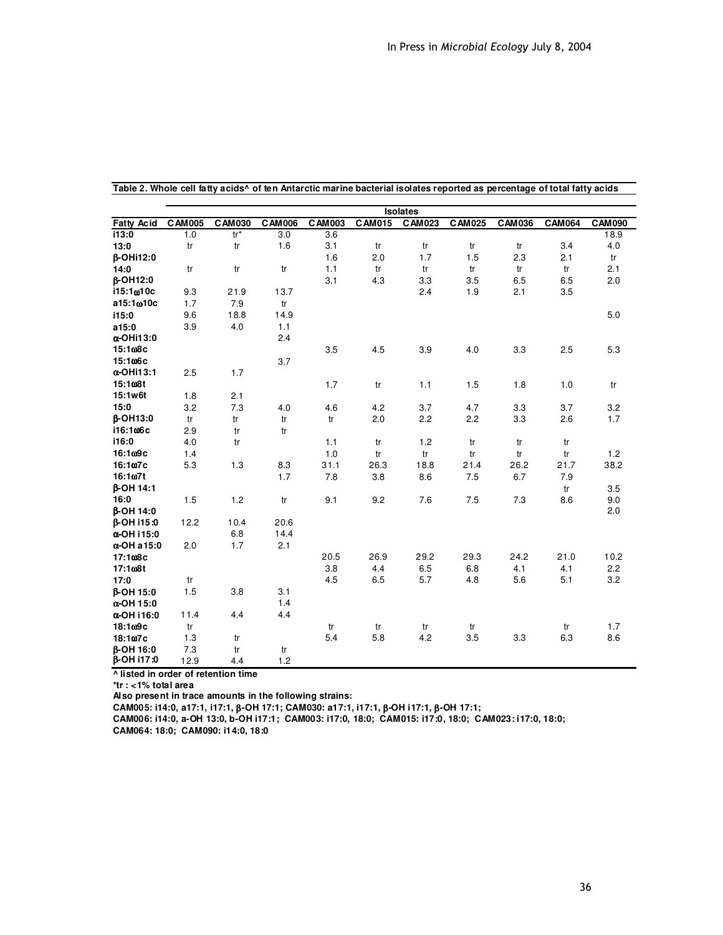|                                  |           |               |               |               |               | <b>Isolates</b> |               |               |               |               |
|----------------------------------|-----------|---------------|---------------|---------------|---------------|-----------------|---------------|---------------|---------------|---------------|
| <b>Fatty Acid</b>                | C AM 005  | <b>CAM030</b> | <b>CAM006</b> | <b>CAM003</b> | <b>CAM015</b> | CAM023          | <b>CAM025</b> | <b>CAM036</b> | <b>CAM064</b> | <b>CAM090</b> |
| i13:0                            | 1.0       | $tr*$         | 3.0           | 3.6           |               |                 |               |               |               | 18.9          |
| 13:0                             | tr        | tr            | 1.6           | 3.1           | tr            | tr              | tr            | tr            | 3.4           | 4.0           |
| <b>β-OHi12:0</b>                 |           |               |               | 1.6           | 2.0           | 1.7             | 1.5           | 2.3           | 2.1           | tr            |
| 14:0                             | tr        | tr            | tr            | 1.1           | tr            | tr              | tr            | tr            | tr            | 2.1           |
| <b>ß-OH12:0</b>                  |           |               |               | 3.1           | 4.3           | 3.3             | 3.5           | 6.5           | 6.5           | 2.0           |
| i15:1 <sub>00</sub> 10c          | 9.3       | 21.9          | 13.7          |               |               | 2.4             | 1.9           | 2.1           | 3.5           |               |
| a15:1 <sub>00</sub> 10c          | 1.7       | 7.9           | tr            |               |               |                 |               |               |               |               |
| i15:0                            | 9.6       | 18.8          | 14.9          |               |               |                 |               |               |               | 5.0           |
| a15:0                            | 3.9       | 4.0           | 1.1           |               |               |                 |               |               |               |               |
| $\alpha$ -OHi13:0                |           |               | 2.4           |               |               |                 |               |               |               |               |
| 15:1 <sub>08</sub> c             |           |               |               | 3.5           | 4.5           | 3.9             | 4.0           | 3.3           | 2.5           | 5.3           |
| 15:106c                          |           |               | 3.7           |               |               |                 |               |               |               |               |
| $\alpha$ -OHi13:1                | 2.5       | 1.7           |               |               |               |                 |               |               |               |               |
| 15:1 <sub>00</sub> 8t            |           |               |               | 1.7           | tr            | 1.1             | 1.5           | 1.8           | 1.0           | tr            |
| 15:1w6t                          | 1.8       | 2.1           |               |               |               |                 |               |               |               |               |
| 15:0                             | 3.2       | 7.3           | 4.0           | 4.6           | 4.2           | 3.7             | 4.7           | 3.3           | 3.7           | 3.2           |
| <b>B-OH13:0</b>                  | tr        | tr            | tr            | tr            | 2.0           | 2.2             | 2.2           | 3.3           | 2.6           | 1.7           |
| i16:1 <sub>00</sub> 6c           | 2.9       | tr            | tr            |               |               |                 |               |               |               |               |
| i16:0                            | 4.0       | tr            |               | 1.1           | tr            | 1.2             | tr            | tr            | tr            |               |
| 16:109c                          | 1.4       |               |               | 1.0           | tr            | tr              | tr            | tr            | tr            | 1.2           |
| 16:1ω7c                          | 5.3       | 1.3           | 8.3           | 31.1          | 26.3          | 18.8            | 21.4          | 26.2          | 21.7          | 38.2          |
| 16:1 <sub>07t</sub>              |           |               | 1.7           | 7.8           | 3.8           | 8.6             | 7.5           | 6.7           | 7.9           |               |
| <b>B-OH 14:1</b>                 |           |               |               |               |               |                 |               |               | tr            | 3.5           |
| 16:0                             | 1.5       | 1.2           | tr            | 9.1           | 9.2           | 7.6             | 7.5           | 7.3           | 8.6           | 9.0           |
| <b>B-OH 14:0</b>                 |           |               |               |               |               |                 |               |               |               | 2.0           |
| <b>B-OH i15:0</b>                | 12.2      | 10.4          | 20.6          |               |               |                 |               |               |               |               |
| α-OH i 15:0                      |           | 6.8           | 14.4          |               |               |                 |               |               |               |               |
| $\alpha$ -OH a 15:0              | 2.0       | 1.7           | 2.1           |               |               |                 |               |               |               |               |
| 17:1 <sub>08</sub> c             |           |               |               | 20.5          | 26.9          | 29.2            | 29.3          | 24.2          | 21.0          | 10.2          |
| 17:108t<br>17:0                  |           |               |               | 3.8           | 4.4           | 6.5<br>5.7      | 6.8           | 4.1           | 4.1           | 2.2           |
|                                  | tr<br>1.5 | 3.8           | 3.1           | 4.5           | 6.5           |                 | 4.8           | 5.6           | 5.1           | 3.2           |
| <b>B-OH 15:0</b>                 |           |               | 1.4           |               |               |                 |               |               |               |               |
| $\alpha$ -OH 15:0<br>α-OH i 16:0 | 11.4      | 4.4           | 4.4           |               |               |                 |               |               |               |               |
| 18:109c                          | tr        |               |               | tr            |               |                 | tr            |               |               | 1.7           |
| 18:107c                          | 1.3       | tr            |               | 5.4           | tr<br>5.8     | tr<br>4.2       | 3.5           | 3.3           | tr<br>6.3     | 8.6           |
| <b>B-OH 16:0</b>                 | 7.3       | tr            | tr            |               |               |                 |               |               |               |               |
| β-OH i17:0                       | 12.9      | 4.4           | 1.2           |               |               |                 |               |               |               |               |
|                                  |           |               |               |               |               |                 |               |               |               |               |

Table 2. Whole cell fatty acids<sup>^</sup> of ten Antarctic marine bacterial isolates reported as percentage of total fatty acids

**^ listed in order of retention time**

**\*tr : <1% total area**

**Also present in trace amounts in the following strains:**

**CAM005: i14:0, a17:1, i17:1,** β**-OH 17:1; CAM030: a17:1, i17:1,** β**-OH i17:1,** β**-OH 17:1;**

**CAM006: i14:0, a-OH 13:0, b-OH i17:1; CAM003: i17:0, 18:0; CAM015: i17:0, 18:0; CAM023: i17:0, 18:0;**

**CAM064: 18:0; CAM090: i14:0, 18:0**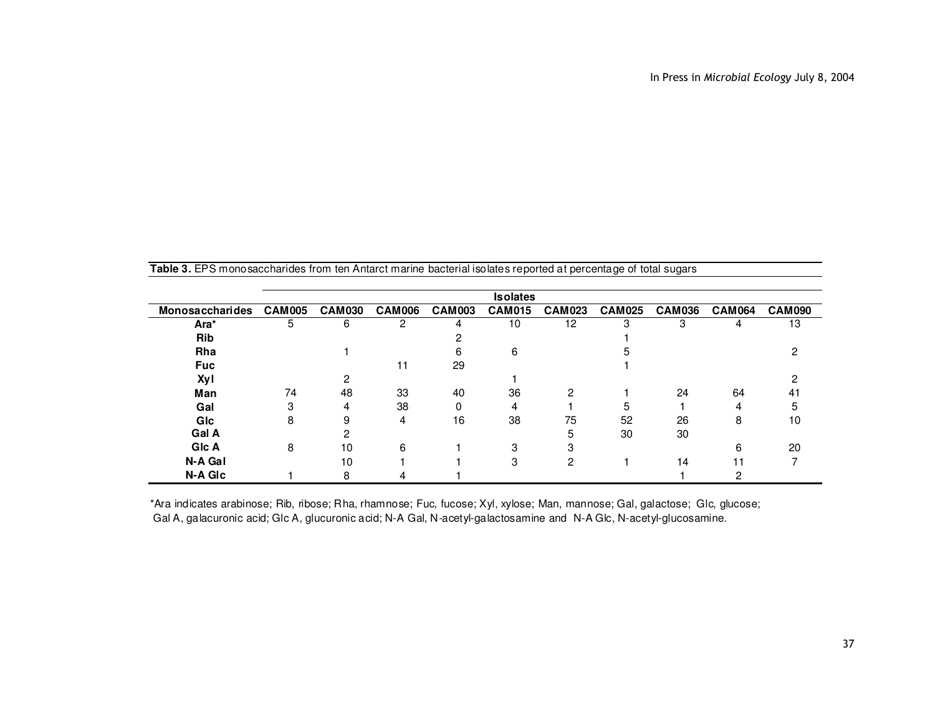| <b>Table J.</b> LET O MONOSACCHANDES NOME TEN ANIMAL MITALING DACIGNALISORAGS TO DOITGO AT DOLCONIAGO OF TOTAL SUGALS |               |               |               |               |                 |               |               |               |               |               |
|-----------------------------------------------------------------------------------------------------------------------|---------------|---------------|---------------|---------------|-----------------|---------------|---------------|---------------|---------------|---------------|
|                                                                                                                       |               |               |               |               | <b>Isolates</b> |               |               |               |               |               |
| <b>Monosaccharides</b>                                                                                                | <b>CAM005</b> | <b>CAM030</b> | <b>CAM006</b> | <b>CAM003</b> | <b>CAM015</b>   | <b>CAM023</b> | <b>CAM025</b> | <b>CAM036</b> | <b>CAM064</b> | <b>CAM090</b> |
| Ara*                                                                                                                  | 5             | 6             | 2             | 4             | 10              | 12            | з             | 3             | 4             | 13            |
| Rib                                                                                                                   |               |               |               |               |                 |               |               |               |               |               |
| Rha                                                                                                                   |               |               |               | հ             | 6               |               |               |               |               |               |
| <b>Fuc</b>                                                                                                            |               |               | 11            | 29            |                 |               |               |               |               |               |
| <b>Xyl</b>                                                                                                            |               |               |               |               |                 |               |               |               |               |               |
| Man                                                                                                                   | 74            | 48            | 33            | 40            | 36              | 2             |               | 24            | 64            | 41            |
| Gal                                                                                                                   | 3             | 4             | 38            | 0             | 4               |               | 5             |               | 4             | 5             |
| GIc                                                                                                                   | 8             | 9             | 4             | 16            | 38              | 75            | 52            | 26            | 8             | 10            |
| Gal A                                                                                                                 |               |               |               |               |                 |               | 30            | 30            |               |               |
| GIc A                                                                                                                 | 8             | 10            | 6             |               | З               |               |               |               | 6             | 20            |
| N-A Gal                                                                                                               |               | 10            |               |               | 3               | 2             |               | 14            | 11            |               |
| N-A GIC                                                                                                               |               | 8             |               |               |                 |               |               |               | 2             |               |

**Table 3.** EPS monosaccharides from ten Antarct marine bacterial isolates reported at percentage of total sugars

\*Ara indicates arabinose; Rib, ribose; Rha, rhamnose; Fuc, fucose; Xyl, xylose; Man, mannose; Gal, galactose; Glc, glucose; Gal A, galacuronic acid; Glc A, glucuronic acid; N-A Gal, N-acetyl-galactosamine and N-A Glc, N-acetyl-glucosamine.